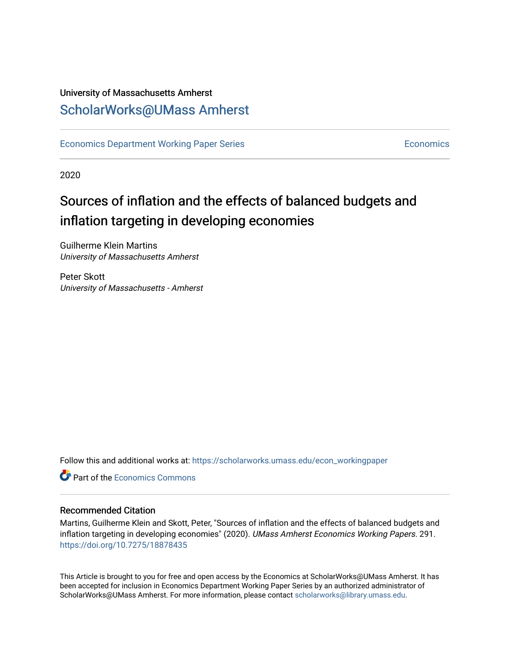# University of Massachusetts Amherst [ScholarWorks@UMass Amherst](https://scholarworks.umass.edu/)

[Economics Department Working Paper Series](https://scholarworks.umass.edu/econ_workingpaper) **Economics** [Economics](https://scholarworks.umass.edu/economics) Economics

2020

# Sources of inflation and the effects of balanced budgets and inflation targeting in developing economies

Guilherme Klein Martins University of Massachusetts Amherst

Peter Skott University of Massachusetts - Amherst

Follow this and additional works at: [https://scholarworks.umass.edu/econ\\_workingpaper](https://scholarworks.umass.edu/econ_workingpaper?utm_source=scholarworks.umass.edu%2Fecon_workingpaper%2F291&utm_medium=PDF&utm_campaign=PDFCoverPages) 

**C** Part of the [Economics Commons](http://network.bepress.com/hgg/discipline/340?utm_source=scholarworks.umass.edu%2Fecon_workingpaper%2F291&utm_medium=PDF&utm_campaign=PDFCoverPages)

### Recommended Citation

Martins, Guilherme Klein and Skott, Peter, "Sources of inflation and the effects of balanced budgets and inflation targeting in developing economies" (2020). UMass Amherst Economics Working Papers. 291. <https://doi.org/10.7275/18878435>

This Article is brought to you for free and open access by the Economics at ScholarWorks@UMass Amherst. It has been accepted for inclusion in Economics Department Working Paper Series by an authorized administrator of ScholarWorks@UMass Amherst. For more information, please contact [scholarworks@library.umass.edu.](mailto:scholarworks@library.umass.edu)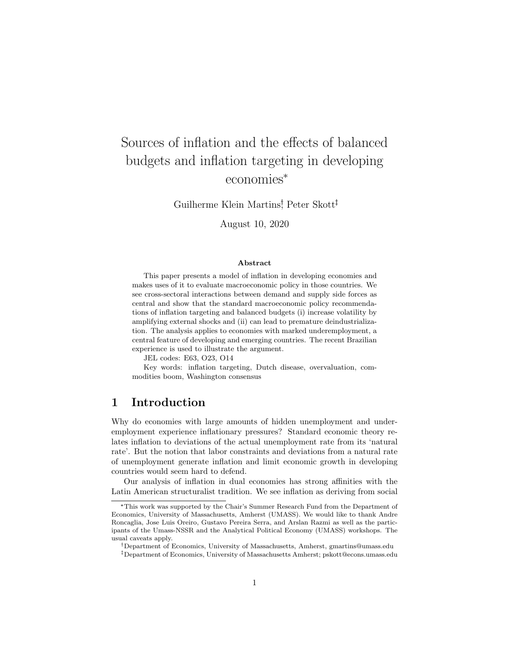# Sources of inflation and the effects of balanced budgets and inflation targeting in developing economies\*

Guilherme Klein Martins<sup>†</sup>, Peter Skott<sup>‡</sup>

August 10, 2020

#### Abstract

This paper presents a model of inflation in developing economies and makes uses of it to evaluate macroeconomic policy in those countries. We see cross-sectoral interactions between demand and supply side forces as central and show that the standard macroeconomic policy recommendations of inflation targeting and balanced budgets (i) increase volatility by amplifying external shocks and (ii) can lead to premature deindustrialization. The analysis applies to economies with marked underemployment, a central feature of developing and emerging countries. The recent Brazilian experience is used to illustrate the argument.

JEL codes: E63, O23, O14

Key words: inflation targeting, Dutch disease, overvaluation, commodities boom, Washington consensus

# 1 Introduction

Why do economies with large amounts of hidden unemployment and underemployment experience inflationary pressures? Standard economic theory relates inflation to deviations of the actual unemployment rate from its 'natural rate'. But the notion that labor constraints and deviations from a natural rate of unemployment generate inflation and limit economic growth in developing countries would seem hard to defend.

Our analysis of inflation in dual economies has strong affinities with the Latin American structuralist tradition. We see inflation as deriving from social

<sup>\*</sup>This work was supported by the Chair's Summer Research Fund from the Department of Economics, University of Massachusetts, Amherst (UMASS). We would like to thank Andre Roncaglia, Jose Luis Oreiro, Gustavo Pereira Serra, and Arslan Razmi as well as the participants of the Umass-NSSR and the Analytical Political Economy (UMASS) workshops. The usual caveats apply.

Department of Economics, University of Massachusetts, Amherst, gmartins@umass.edu

Department of Economics, University of Massachusetts Amherst; pskott@econs.umass.edu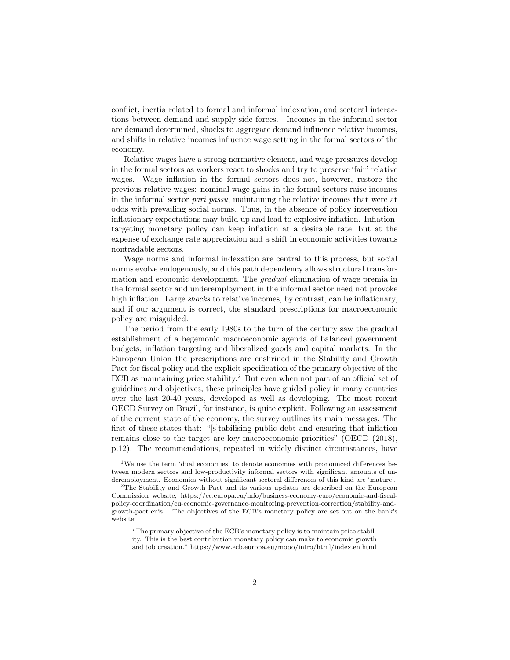conflict, inertia related to formal and informal indexation, and sectoral interactions between demand and supply side forces.<sup>1</sup> Incomes in the informal sector are demand determined, shocks to aggregate demand influence relative incomes, and shifts in relative incomes influence wage setting in the formal sectors of the economy.

Relative wages have a strong normative element, and wage pressures develop in the formal sectors as workers react to shocks and try to preserve 'fair' relative wages. Wage inflation in the formal sectors does not, however, restore the previous relative wages: nominal wage gains in the formal sectors raise incomes in the informal sector pari passu, maintaining the relative incomes that were at odds with prevailing social norms. Thus, in the absence of policy intervention inflationary expectations may build up and lead to explosive inflation. Inflationtargeting monetary policy can keep inflation at a desirable rate, but at the expense of exchange rate appreciation and a shift in economic activities towards nontradable sectors.

Wage norms and informal indexation are central to this process, but social norms evolve endogenously, and this path dependency allows structural transformation and economic development. The gradual elimination of wage premia in the formal sector and underemployment in the informal sector need not provoke high inflation. Large *shocks* to relative incomes, by contrast, can be inflationary, and if our argument is correct, the standard prescriptions for macroeconomic policy are misguided.

The period from the early 1980s to the turn of the century saw the gradual establishment of a hegemonic macroeconomic agenda of balanced government budgets, inflation targeting and liberalized goods and capital markets. In the European Union the prescriptions are enshrined in the Stability and Growth Pact for fiscal policy and the explicit specification of the primary objective of the  $\rm ECB$  as maintaining price stability.<sup>2</sup> But even when not part of an official set of guidelines and objectives, these principles have guided policy in many countries over the last 20-40 years, developed as well as developing. The most recent OECD Survey on Brazil, for instance, is quite explicit. Following an assessment of the current state of the economy, the survey outlines its main messages. The first of these states that: "[s]tabilising public debt and ensuring that inflation remains close to the target are key macroeconomic priorities" (OECD (2018), p.12). The recommendations, repeated in widely distinct circumstances, have

<sup>&</sup>lt;sup>1</sup>We use the term 'dual economies' to denote economies with pronounced differences between modern sectors and low-productivity informal sectors with significant amounts of underemployment. Economies without significant sectoral differences of this kind are 'mature'.

<sup>2</sup>The Stability and Growth Pact and its various updates are described on the European Commission website, https://ec.europa.eu/info/business-economy-euro/economic-and-fiscalpolicy-coordination/eu-economic-governance-monitoring-prevention-correction/stability-andgrowth-pact enis . The objectives of the ECB's monetary policy are set out on the bank's website:

<sup>&</sup>quot;The primary objective of the ECB's monetary policy is to maintain price stability. This is the best contribution monetary policy can make to economic growth and job creation." https://www.ecb.europa.eu/mopo/intro/html/index.en.html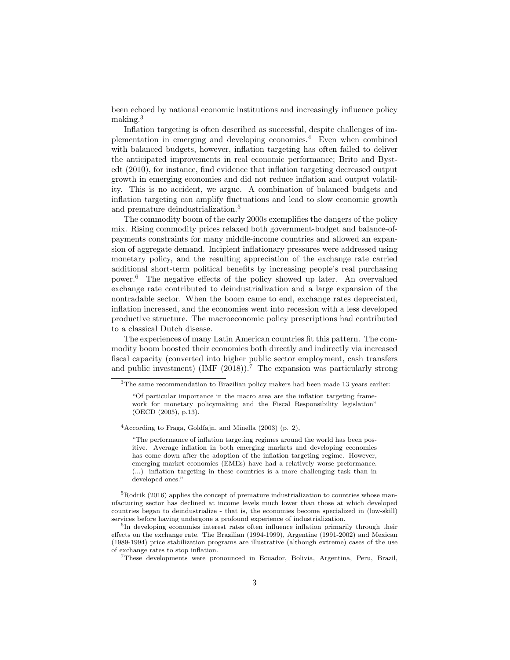been echoed by national economic institutions and increasingly influence policy making.<sup>3</sup>

Inflation targeting is often described as successful, despite challenges of implementation in emerging and developing economies.<sup>4</sup> Even when combined with balanced budgets, however, inflation targeting has often failed to deliver the anticipated improvements in real economic performance; Brito and Bystedt (2010), for instance, find evidence that inflation targeting decreased output growth in emerging economies and did not reduce inflation and output volatility. This is no accident, we argue. A combination of balanced budgets and inflation targeting can amplify fluctuations and lead to slow economic growth and premature deindustrialization.<sup>5</sup>

The commodity boom of the early 2000s exemplifies the dangers of the policy mix. Rising commodity prices relaxed both government-budget and balance-ofpayments constraints for many middle-income countries and allowed an expansion of aggregate demand. Incipient inflationary pressures were addressed using monetary policy, and the resulting appreciation of the exchange rate carried additional short-term political benefits by increasing people's real purchasing power.<sup>6</sup> The negative effects of the policy showed up later. An overvalued exchange rate contributed to deindustrialization and a large expansion of the nontradable sector. When the boom came to end, exchange rates depreciated, inflation increased, and the economies went into recession with a less developed productive structure. The macroeconomic policy prescriptions had contributed to a classical Dutch disease.

The experiences of many Latin American countries fit this pattern. The commodity boom boosted their economies both directly and indirectly via increased fiscal capacity (converted into higher public sector employment, cash transfers and public investment) (IMF  $(2018)$ ).<sup>7</sup> The expansion was particularly strong

 $4$ According to Fraga, Goldfajn, and Minella (2003) (p. 2),

"The performance of inflation targeting regimes around the world has been positive. Average inflation in both emerging markets and developing economies has come down after the adoption of the inflation targeting regime. However, emerging market economies (EMEs) have had a relatively worse preformance. (...) inflation targeting in these countries is a more challenging task than in developed ones."

<sup>5</sup>Rodrik (2016) applies the concept of premature industrialization to countries whose manufacturing sector has declined at income levels much lower than those at which developed countries began to deindustrialize - that is, the economies become specialized in (low-skill) services before having undergone a profound experience of industrialization.

<sup>&</sup>lt;sup>3</sup>The same recommendation to Brazilian policy makers had been made 13 years earlier:

<sup>&</sup>quot;Of particular importance in the macro area are the inflation targeting framework for monetary policymaking and the Fiscal Responsibility legislation" (OECD (2005), p.13).

<sup>&</sup>lt;sup>6</sup>In developing economies interest rates often influence inflation primarily through their effects on the exchange rate. The Brazilian (1994-1999), Argentine (1991-2002) and Mexican (1989-1994) price stabilization programs are illustrative (although extreme) cases of the use of exchange rates to stop inflation.

<sup>7</sup>These developments were pronounced in Ecuador, Bolivia, Argentina, Peru, Brazil,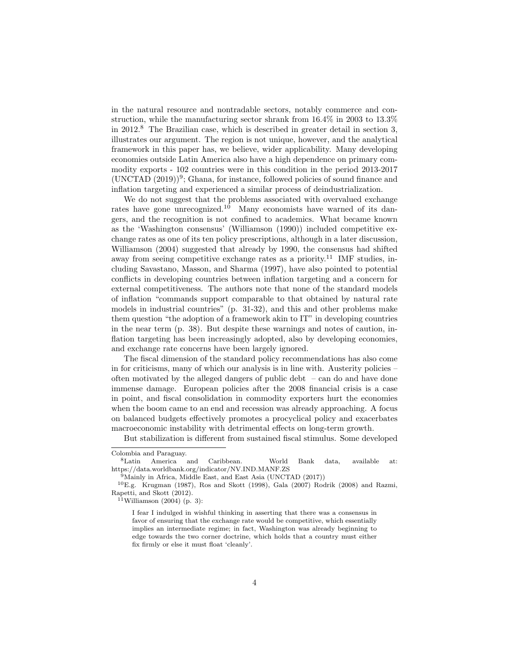in the natural resource and nontradable sectors, notably commerce and construction, while the manufacturing sector shrank from 16.4% in 2003 to 13.3% in 2012.<sup>8</sup> The Brazilian case, which is described in greater detail in section 3, illustrates our argument. The region is not unique, however, and the analytical framework in this paper has, we believe, wider applicability. Many developing economies outside Latin America also have a high dependence on primary commodity exports - 102 countries were in this condition in the period 2013-2017  $(UNCTAD (2019))^9$ ; Ghana, for instance, followed policies of sound finance and inflation targeting and experienced a similar process of deindustrialization.

We do not suggest that the problems associated with overvalued exchange rates have gone unrecognized.<sup>10</sup> Many economists have warned of its dangers, and the recognition is not confined to academics. What became known as the 'Washington consensus' (Williamson (1990)) included competitive exchange rates as one of its ten policy prescriptions, although in a later discussion, Williamson (2004) suggested that already by 1990, the consensus had shifted away from seeing competitive exchange rates as a priority.<sup>11</sup> IMF studies, including Savastano, Masson, and Sharma (1997), have also pointed to potential conflicts in developing countries between inflation targeting and a concern for external competitiveness. The authors note that none of the standard models of inflation "commands support comparable to that obtained by natural rate models in industrial countries" (p. 31-32), and this and other problems make them question "the adoption of a framework akin to IT" in developing countries in the near term (p. 38). But despite these warnings and notes of caution, inflation targeting has been increasingly adopted, also by developing economies, and exchange rate concerns have been largely ignored.

The fiscal dimension of the standard policy recommendations has also come in for criticisms, many of which our analysis is in line with. Austerity policies – often motivated by the alleged dangers of public debt – can do and have done immense damage. European policies after the 2008 financial crisis is a case in point, and fiscal consolidation in commodity exporters hurt the economies when the boom came to an end and recession was already approaching. A focus on balanced budgets effectively promotes a procyclical policy and exacerbates macroeconomic instability with detrimental effects on long-term growth.

But stabilization is different from sustained fiscal stimulus. Some developed Colombia and Paraguay.

<sup>8</sup>Latin America and Caribbean. World Bank data, available at: https://data.worldbank.org/indicator/NV.IND.MANF.ZS

<sup>&</sup>lt;sup>9</sup>Mainly in Africa, Middle East, and East Asia (UNCTAD (2017))

 ${}^{10}E.g.$  Krugman (1987), Ros and Skott (1998), Gala (2007) Rodrik (2008) and Razmi, Rapetti, and Skott (2012).

 $11$ Williamson (2004) (p. 3):

I fear I indulged in wishful thinking in asserting that there was a consensus in favor of ensuring that the exchange rate would be competitive, which essentially implies an intermediate regime; in fact, Washington was already beginning to edge towards the two corner doctrine, which holds that a country must either fix firmly or else it must float 'cleanly'.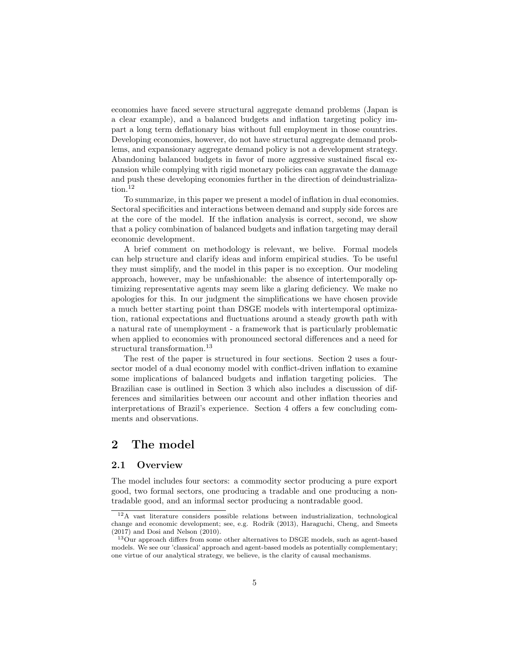economies have faced severe structural aggregate demand problems (Japan is a clear example), and a balanced budgets and inflation targeting policy impart a long term deflationary bias without full employment in those countries. Developing economies, however, do not have structural aggregate demand problems, and expansionary aggregate demand policy is not a development strategy. Abandoning balanced budgets in favor of more aggressive sustained fiscal expansion while complying with rigid monetary policies can aggravate the damage and push these developing economies further in the direction of deindustrialization.<sup>12</sup>

To summarize, in this paper we present a model of inflation in dual economies. Sectoral specificities and interactions between demand and supply side forces are at the core of the model. If the inflation analysis is correct, second, we show that a policy combination of balanced budgets and inflation targeting may derail economic development.

A brief comment on methodology is relevant, we belive. Formal models can help structure and clarify ideas and inform empirical studies. To be useful they must simplify, and the model in this paper is no exception. Our modeling approach, however, may be unfashionable: the absence of intertemporally optimizing representative agents may seem like a glaring deficiency. We make no apologies for this. In our judgment the simplifications we have chosen provide a much better starting point than DSGE models with intertemporal optimization, rational expectations and fluctuations around a steady growth path with a natural rate of unemployment - a framework that is particularly problematic when applied to economies with pronounced sectoral differences and a need for structural transformation.<sup>13</sup>

The rest of the paper is structured in four sections. Section 2 uses a foursector model of a dual economy model with conflict-driven inflation to examine some implications of balanced budgets and inflation targeting policies. The Brazilian case is outlined in Section 3 which also includes a discussion of differences and similarities between our account and other inflation theories and interpretations of Brazil's experience. Section 4 offers a few concluding comments and observations.

# 2 The model

#### 2.1 Overview

The model includes four sectors: a commodity sector producing a pure export good, two formal sectors, one producing a tradable and one producing a nontradable good, and an informal sector producing a nontradable good.

<sup>12</sup>A vast literature considers possible relations between industrialization, technological change and economic development; see, e.g. Rodrik (2013), Haraguchi, Cheng, and Smeets (2017) and Dosi and Nelson (2010).

<sup>&</sup>lt;sup>13</sup>Our approach differs from some other alternatives to DSGE models, such as agent-based models. We see our 'classical' approach and agent-based models as potentially complementary; one virtue of our analytical strategy, we believe, is the clarity of causal mechanisms.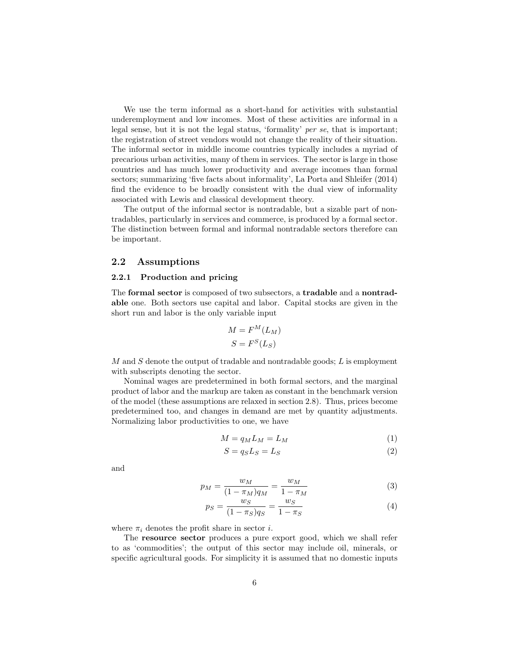We use the term informal as a short-hand for activities with substantial underemployment and low incomes. Most of these activities are informal in a legal sense, but it is not the legal status, 'formality' per se, that is important; the registration of street vendors would not change the reality of their situation. The informal sector in middle income countries typically includes a myriad of precarious urban activities, many of them in services. The sector is large in those countries and has much lower productivity and average incomes than formal sectors; summarizing 'five facts about informality', La Porta and Shleifer (2014) find the evidence to be broadly consistent with the dual view of informality associated with Lewis and classical development theory.

The output of the informal sector is nontradable, but a sizable part of nontradables, particularly in services and commerce, is produced by a formal sector. The distinction between formal and informal nontradable sectors therefore can be important.

#### 2.2 Assumptions

#### 2.2.1 Production and pricing

The formal sector is composed of two subsectors, a tradable and a nontradable one. Both sectors use capital and labor. Capital stocks are given in the short run and labor is the only variable input

$$
M = F^{M}(L_{M})
$$

$$
S = F^{S}(L_{S})
$$

 $M$  and  $S$  denote the output of tradable and nontradable goods;  $L$  is employment with subscripts denoting the sector.

Nominal wages are predetermined in both formal sectors, and the marginal product of labor and the markup are taken as constant in the benchmark version of the model (these assumptions are relaxed in section 2.8). Thus, prices become predetermined too, and changes in demand are met by quantity adjustments. Normalizing labor productivities to one, we have

$$
M = q_M L_M = L_M \tag{1}
$$

$$
S = q_S L_S = L_S \tag{2}
$$

and

$$
p_M = \frac{w_M}{(1 - \pi_M)q_M} = \frac{w_M}{1 - \pi_M} \tag{3}
$$

$$
p_S = \frac{w_S}{(1 - \pi_S)q_S} = \frac{w_S}{1 - \pi_S} \tag{4}
$$

where  $\pi_i$  denotes the profit share in sector *i*.

The resource sector produces a pure export good, which we shall refer to as 'commodities'; the output of this sector may include oil, minerals, or specific agricultural goods. For simplicity it is assumed that no domestic inputs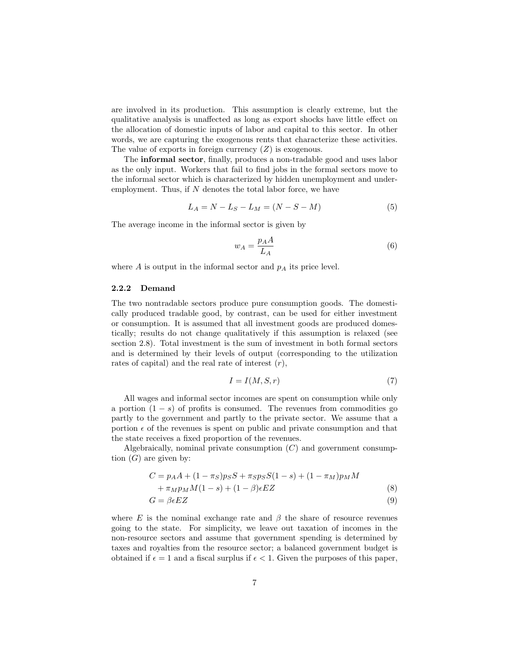are involved in its production. This assumption is clearly extreme, but the qualitative analysis is unaffected as long as export shocks have little effect on the allocation of domestic inputs of labor and capital to this sector. In other words, we are capturing the exogenous rents that characterize these activities. The value of exports in foreign currency  $(Z)$  is exogenous.

The informal sector, finally, produces a non-tradable good and uses labor as the only input. Workers that fail to find jobs in the formal sectors move to the informal sector which is characterized by hidden unemployment and underemployment. Thus, if  $N$  denotes the total labor force, we have

$$
L_A = N - L_S - L_M = (N - S - M)
$$
\n(5)

The average income in the informal sector is given by

$$
w_A = \frac{p_A A}{L_A} \tag{6}
$$

where  $A$  is output in the informal sector and  $p_A$  its price level.

#### 2.2.2 Demand

The two nontradable sectors produce pure consumption goods. The domestically produced tradable good, by contrast, can be used for either investment or consumption. It is assumed that all investment goods are produced domestically; results do not change qualitatively if this assumption is relaxed (see section 2.8). Total investment is the sum of investment in both formal sectors and is determined by their levels of output (corresponding to the utilization rates of capital) and the real rate of interest  $(r)$ ,

$$
I = I(M, S, r) \tag{7}
$$

All wages and informal sector incomes are spent on consumption while only a portion  $(1 - s)$  of profits is consumed. The revenues from commodities go partly to the government and partly to the private sector. We assume that a portion  $\epsilon$  of the revenues is spent on public and private consumption and that the state receives a fixed proportion of the revenues.

Algebraically, nominal private consumption  $(C)$  and government consumption  $(G)$  are given by:

$$
C = p_A A + (1 - \pi_S) p_S S + \pi_S p_S S (1 - s) + (1 - \pi_M) p_M M + \pi_M p_M M (1 - s) + (1 - \beta) \epsilon E Z
$$
 (8)

$$
G = \beta \epsilon EZ \tag{9}
$$

where E is the nominal exchange rate and  $\beta$  the share of resource revenues going to the state. For simplicity, we leave out taxation of incomes in the non-resource sectors and assume that government spending is determined by taxes and royalties from the resource sector; a balanced government budget is obtained if  $\epsilon = 1$  and a fiscal surplus if  $\epsilon < 1$ . Given the purposes of this paper,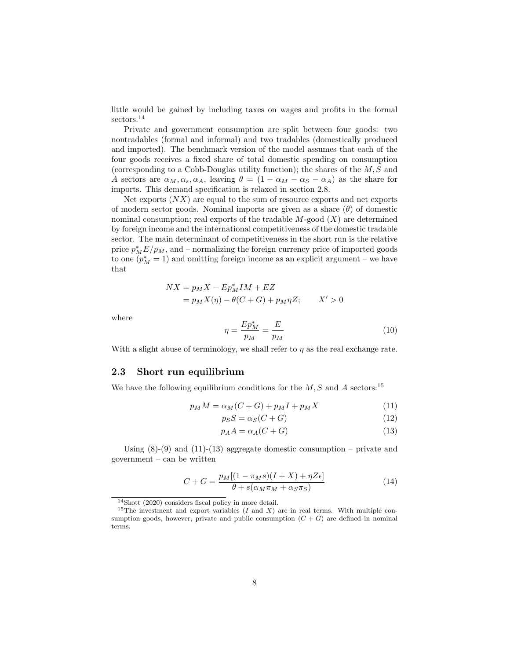little would be gained by including taxes on wages and profits in the formal sectors.<sup>14</sup>

Private and government consumption are split between four goods: two nontradables (formal and informal) and two tradables (domestically produced and imported). The benchmark version of the model assumes that each of the four goods receives a fixed share of total domestic spending on consumption (corresponding to a Cobb-Douglas utility function); the shares of the  $M, S$  and A sectors are  $\alpha_M, \alpha_s, \alpha_A$ , leaving  $\theta = (1 - \alpha_M - \alpha_S - \alpha_A)$  as the share for imports. This demand specification is relaxed in section 2.8.

Net exports  $(NX)$  are equal to the sum of resource exports and net exports of modern sector goods. Nominal imports are given as a share  $(\theta)$  of domestic nominal consumption; real exports of the tradable  $M$ -good  $(X)$  are determined by foreign income and the international competitiveness of the domestic tradable sector. The main determinant of competitiveness in the short run is the relative price  $p_M^*E/p_M$ , and – normalizing the foreign currency price of imported goods to one  $(p_M^* = 1)$  and omitting foreign income as an explicit argument – we have that

$$
NX = p_M X - Ep_M^* IM + EZ
$$
  
=  $p_M X(\eta) - \theta(C + G) + p_M \eta Z;$   $X' > 0$ 

where

$$
\eta = \frac{Ep_M^*}{p_M} = \frac{E}{p_M} \tag{10}
$$

With a slight abuse of terminology, we shall refer to  $\eta$  as the real exchange rate.

#### 2.3 Short run equilibrium

We have the following equilibrium conditions for the  $M, S$  and A sectors:<sup>15</sup>

$$
p_M M = \alpha_M (C + G) + p_M I + p_M X \tag{11}
$$

$$
p_S S = \alpha_S (C + G) \tag{12}
$$

$$
p_A A = \alpha_A (C + G) \tag{13}
$$

Using  $(8)-(9)$  and  $(11)-(13)$  aggregate domestic consumption – private and government – can be written

$$
C + G = \frac{p_M[(1 - \pi_M s)(I + X) + \eta Z \epsilon]}{\theta + s(\alpha_M \pi_M + \alpha_S \pi_S)}
$$
(14)

<sup>14</sup>Skott (2020) considers fiscal policy in more detail.

<sup>&</sup>lt;sup>15</sup>The investment and export variables (*I* and *X*) are in real terms. With multiple consumption goods, however, private and public consumption  $(C+G)$  are defined in nominal terms.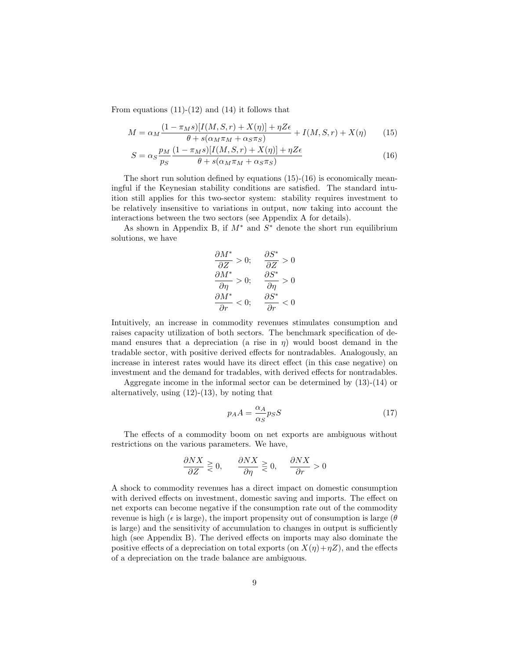From equations  $(11)-(12)$  and  $(14)$  it follows that

$$
M = \alpha_M \frac{(1 - \pi_M s)[I(M, S, r) + X(\eta)] + \eta Z \epsilon}{\theta + s(\alpha_M \pi_M + \alpha_S \pi_S)} + I(M, S, r) + X(\eta) \tag{15}
$$

$$
S = \alpha_S \frac{p_M}{p_S} \frac{(1 - \pi_M s)[I(M, S, r) + X(\eta)] + \eta Z \epsilon}{\theta + s(\alpha_M \pi_M + \alpha_S \pi_S)}
$$
(16)

The short run solution defined by equations (15)-(16) is economically meaningful if the Keynesian stability conditions are satisfied. The standard intuition still applies for this two-sector system: stability requires investment to be relatively insensitive to variations in output, now taking into account the interactions between the two sectors (see Appendix A for details).

As shown in Appendix B, if  $M^*$  and  $S^*$  denote the short run equilibrium solutions, we have

$$
\frac{\partial M^*}{\partial Z} > 0; \quad \frac{\partial S^*}{\partial Z} > 0
$$
\n
$$
\frac{\partial M^*}{\partial \eta} > 0; \quad \frac{\partial S^*}{\partial \eta} > 0
$$
\n
$$
\frac{\partial M^*}{\partial r} < 0; \quad \frac{\partial S^*}{\partial r} < 0
$$

Intuitively, an increase in commodity revenues stimulates consumption and raises capacity utilization of both sectors. The benchmark specification of demand ensures that a depreciation (a rise in  $\eta$ ) would boost demand in the tradable sector, with positive derived effects for nontradables. Analogously, an increase in interest rates would have its direct effect (in this case negative) on investment and the demand for tradables, with derived effects for nontradables.

Aggregate income in the informal sector can be determined by (13)-(14) or alternatively, using  $(12)-(13)$ , by noting that

$$
p_A A = \frac{\alpha_A}{\alpha_S} p_S S \tag{17}
$$

The effects of a commodity boom on net exports are ambiguous without restrictions on the various parameters. We have,

$$
\frac{\partial N X}{\partial Z} \geq 0, \qquad \frac{\partial N X}{\partial \eta} \geq 0, \qquad \frac{\partial N X}{\partial r} > 0
$$

A shock to commodity revenues has a direct impact on domestic consumption with derived effects on investment, domestic saving and imports. The effect on net exports can become negative if the consumption rate out of the commodity revenue is high ( $\epsilon$  is large), the import propensity out of consumption is large ( $\theta$ is large) and the sensitivity of accumulation to changes in output is sufficiently high (see Appendix B). The derived effects on imports may also dominate the positive effects of a depreciation on total exports (on  $X(\eta)+\eta Z$ ), and the effects of a depreciation on the trade balance are ambiguous.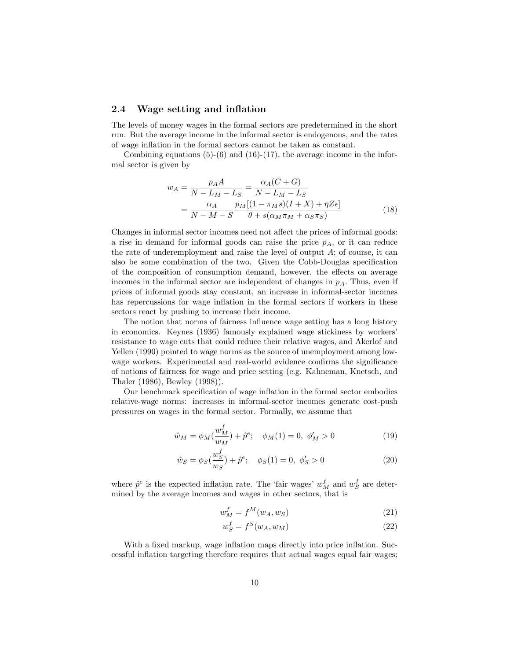#### 2.4 Wage setting and inflation

The levels of money wages in the formal sectors are predetermined in the short run. But the average income in the informal sector is endogenous, and the rates of wage inflation in the formal sectors cannot be taken as constant.

Combining equations  $(5)-(6)$  and  $(16)-(17)$ , the average income in the informal sector is given by

$$
w_A = \frac{p_A A}{N - L_M - L_S} = \frac{\alpha_A (C + G)}{N - L_M - L_S}
$$
  
= 
$$
\frac{\alpha_A}{N - M - S} \frac{p_M [(1 - \pi_M s)(I + X) + \eta Z \epsilon]}{\theta + s(\alpha_M \pi_M + \alpha_S \pi_S)}
$$
(18)

Changes in informal sector incomes need not affect the prices of informal goods: a rise in demand for informal goods can raise the price  $p_A$ , or it can reduce the rate of underemployment and raise the level of output  $A$ ; of course, it can also be some combination of the two. Given the Cobb-Douglas specification of the composition of consumption demand, however, the effects on average incomes in the informal sector are independent of changes in  $p_A$ . Thus, even if prices of informal goods stay constant, an increase in informal-sector incomes has repercussions for wage inflation in the formal sectors if workers in these sectors react by pushing to increase their income.

The notion that norms of fairness influence wage setting has a long history in economics. Keynes (1936) famously explained wage stickiness by workers' resistance to wage cuts that could reduce their relative wages, and Akerlof and Yellen (1990) pointed to wage norms as the source of unemployment among lowwage workers. Experimental and real-world evidence confirms the significance of notions of fairness for wage and price setting (e.g. Kahneman, Knetsch, and Thaler (1986), Bewley (1998)).

Our benchmark specification of wage inflation in the formal sector embodies relative-wage norms: increases in informal-sector incomes generate cost-push pressures on wages in the formal sector. Formally, we assume that

$$
\hat{w}_M = \phi_M(\frac{w_M^f}{w_M}) + \hat{p}^e; \quad \phi_M(1) = 0, \ \phi_M' > 0 \tag{19}
$$

$$
\hat{w}_S = \phi_S(\frac{w_S^f}{w_S}) + \hat{p}^e; \quad \phi_S(1) = 0, \ \phi_S' > 0 \tag{20}
$$

where  $\hat{p}^e$  is the expected inflation rate. The 'fair wages'  $w_M^f$  and  $w_S^f$  are determined by the average incomes and wages in other sectors, that is

$$
w_M^f = f^M(w_A, w_S) \tag{21}
$$

$$
w_S^f = f^S(w_A, w_M) \tag{22}
$$

With a fixed markup, wage inflation maps directly into price inflation. Successful inflation targeting therefore requires that actual wages equal fair wages;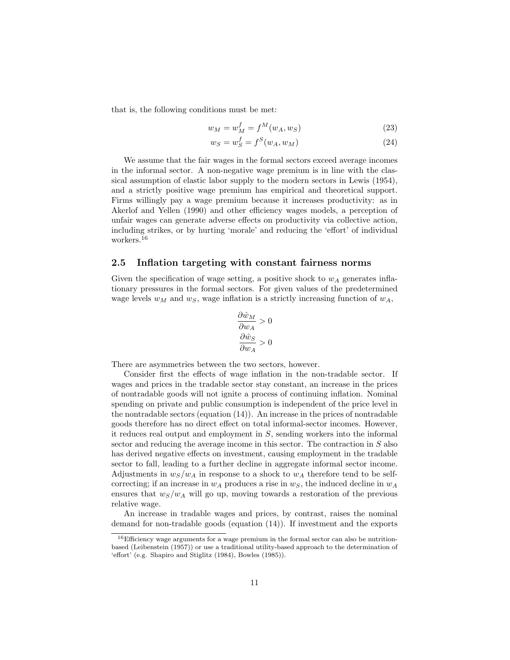that is, the following conditions must be met:

$$
w_M = w_M^f = f^M(w_A, w_S)
$$
\n(23)

$$
w_S = w_S^f = f^S(w_A, w_M)
$$
\n<sup>(24)</sup>

We assume that the fair wages in the formal sectors exceed average incomes in the informal sector. A non-negative wage premium is in line with the classical assumption of elastic labor supply to the modern sectors in Lewis (1954), and a strictly positive wage premium has empirical and theoretical support. Firms willingly pay a wage premium because it increases productivity: as in Akerlof and Yellen (1990) and other efficiency wages models, a perception of unfair wages can generate adverse effects on productivity via collective action, including strikes, or by hurting 'morale' and reducing the 'effort' of individual workers.<sup>16</sup>

### 2.5 Inflation targeting with constant fairness norms

Given the specification of wage setting, a positive shock to  $w_A$  generates inflationary pressures in the formal sectors. For given values of the predetermined wage levels  $w_M$  and  $w_S$ , wage inflation is a strictly increasing function of  $w_A$ ,

$$
\frac{\partial \hat{w}_M}{\partial w_A} > 0
$$

$$
\frac{\partial \hat{w}_S}{\partial w_A} > 0
$$

There are asymmetries between the two sectors, however.

Consider first the effects of wage inflation in the non-tradable sector. If wages and prices in the tradable sector stay constant, an increase in the prices of nontradable goods will not ignite a process of continuing inflation. Nominal spending on private and public consumption is independent of the price level in the nontradable sectors (equation  $(14)$ ). An increase in the prices of nontradable goods therefore has no direct effect on total informal-sector incomes. However, it reduces real output and employment in S, sending workers into the informal sector and reducing the average income in this sector. The contraction in S also has derived negative effects on investment, causing employment in the tradable sector to fall, leading to a further decline in aggregate informal sector income. Adjustments in  $w_S/w_A$  in response to a shock to  $w_A$  therefore tend to be selfcorrecting; if an increase in  $w_A$  produces a rise in  $w_S$ , the induced decline in  $w_A$ ensures that  $w_S/w_A$  will go up, moving towards a restoration of the previous relative wage.

An increase in tradable wages and prices, by contrast, raises the nominal demand for non-tradable goods (equation (14)). If investment and the exports

<sup>&</sup>lt;sup>16</sup>Efficiency wage arguments for a wage premium in the formal sector can also be nutritionbased (Leibenstein (1957)) or use a traditional utility-based approach to the determination of 'effort' (e.g. Shapiro and Stiglitz (1984), Bowles (1985)).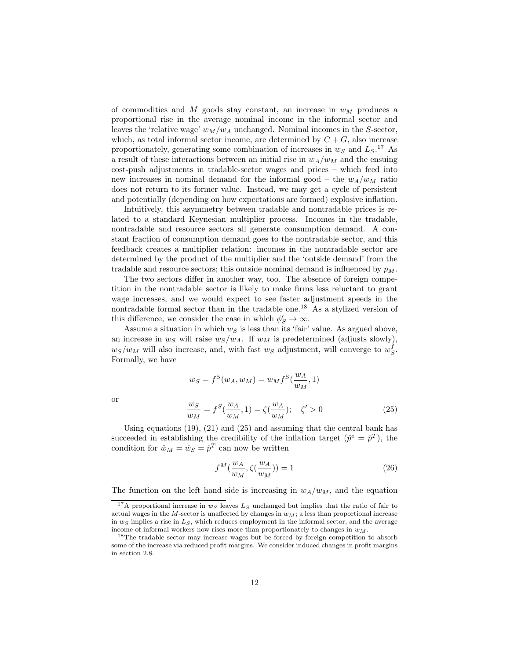of commodities and  $M$  goods stay constant, an increase in  $w_M$  produces a proportional rise in the average nominal income in the informal sector and leaves the 'relative wage'  $w_M/w_A$  unchanged. Nominal incomes in the S-sector, which, as total informal sector income, are determined by  $C + G$ , also increase proportionately, generating some combination of increases in  $w_S$  and  $L_S$ .<sup>17</sup> As a result of these interactions between an initial rise in  $w_A/w_M$  and the ensuing cost-push adjustments in tradable-sector wages and prices – which feed into new increases in nominal demand for the informal good – the  $w_A/w_M$  ratio does not return to its former value. Instead, we may get a cycle of persistent and potentially (depending on how expectations are formed) explosive inflation.

Intuitively, this asymmetry between tradable and nontradable prices is related to a standard Keynesian multiplier process. Incomes in the tradable, nontradable and resource sectors all generate consumption demand. A constant fraction of consumption demand goes to the nontradable sector, and this feedback creates a multiplier relation: incomes in the nontradable sector are determined by the product of the multiplier and the 'outside demand' from the tradable and resource sectors; this outside nominal demand is influenced by  $p_M$ .

The two sectors differ in another way, too. The absence of foreign competition in the nontradable sector is likely to make firms less reluctant to grant wage increases, and we would expect to see faster adjustment speeds in the nontradable formal sector than in the tradable one.<sup>18</sup> As a stylized version of this difference, we consider the case in which  $\phi'_S \to \infty$ .

Assume a situation in which  $w_S$  is less than its 'fair' value. As argued above, an increase in  $w_S$  will raise  $w_S/w_A$ . If  $w_M$  is predetermined (adjusts slowly),  $w_S/w_M$  will also increase, and, with fast  $w_S$  adjustment, will converge to  $w_S^f$ . Formally, we have

$$
w_S = f^S(w_A, w_M) = w_M f^S(\frac{w_A}{w_M}, 1)
$$
  

$$
\frac{w_S}{w_M} = f^S(\frac{w_A}{w_M}, 1) = \zeta(\frac{w_A}{w_M}); \quad \zeta' > 0
$$
 (25)

Using equations  $(19)$ ,  $(21)$  and  $(25)$  and assuming that the central bank has succeeded in establishing the credibility of the inflation target  $(\hat{p}^e = \hat{p}^T)$ , the condition for  $\hat{w}_M = \hat{w}_S = \hat{p}^T$  can now be written

$$
f^{M}(\frac{w_{A}}{w_{M}}, \zeta(\frac{w_{A}}{w_{M}})) = 1
$$
\n(26)

The function on the left hand side is increasing in  $w_A/w_M$ , and the equation

or

<sup>&</sup>lt;sup>17</sup>A proportional increase in  $w_S$  leaves  $L_S$  unchanged but implies that the ratio of fair to actual wages in the M-sector is unaffected by changes in  $w_M$ ; a less than proportional increase in  $w_S$  implies a rise in  $L_S$ , which reduces employment in the informal sector, and the average income of informal workers now rises more than proportionately to changes in  $w_M$ .

<sup>&</sup>lt;sup>18</sup>The tradable sector may increase wages but be forced by foreign competition to absorb some of the increase via reduced profit margins. We consider induced changes in profit margins in section 2.8.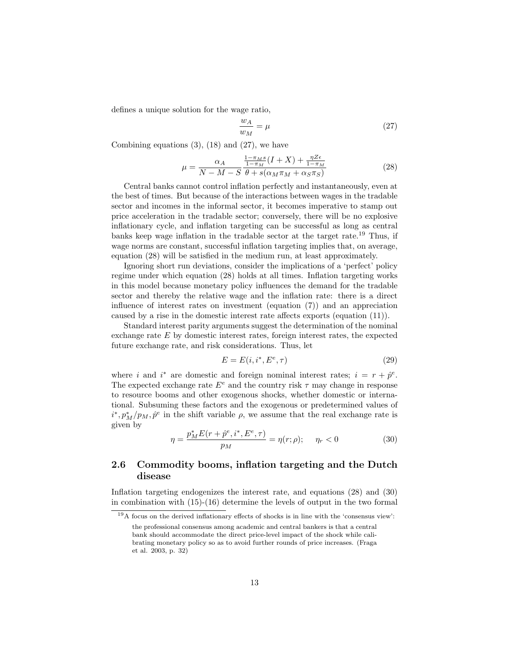defines a unique solution for the wage ratio,

$$
\frac{w_A}{w_M} = \mu \tag{27}
$$

Combining equations  $(3)$ ,  $(18)$  and  $(27)$ , we have

$$
\mu = \frac{\alpha_A}{N - M - S} \frac{\frac{1 - \pi_M s}{1 - \pi_M} (I + X) + \frac{\eta Z \epsilon}{1 - \pi_M}}{\theta + s(\alpha_M \pi_M + \alpha_S \pi_S)}
$$
(28)

Central banks cannot control inflation perfectly and instantaneously, even at the best of times. But because of the interactions between wages in the tradable sector and incomes in the informal sector, it becomes imperative to stamp out price acceleration in the tradable sector; conversely, there will be no explosive inflationary cycle, and inflation targeting can be successful as long as central banks keep wage inflation in the tradable sector at the target rate. <sup>19</sup> Thus, if wage norms are constant, successful inflation targeting implies that, on average, equation (28) will be satisfied in the medium run, at least approximately.

Ignoring short run deviations, consider the implications of a 'perfect' policy regime under which equation (28) holds at all times. Inflation targeting works in this model because monetary policy influences the demand for the tradable sector and thereby the relative wage and the inflation rate: there is a direct influence of interest rates on investment (equation (7)) and an appreciation caused by a rise in the domestic interest rate affects exports (equation (11)).

Standard interest parity arguments suggest the determination of the nominal exchange rate E by domestic interest rates, foreign interest rates, the expected future exchange rate, and risk considerations. Thus, let

$$
E = E(i, i^*, E^e, \tau) \tag{29}
$$

where *i* and *i*<sup>\*</sup> are domestic and foreign nominal interest rates;  $i = r + \hat{p}^e$ . The expected exchange rate  $E^e$  and the country risk  $\tau$  may change in response to resource booms and other exogenous shocks, whether domestic or international. Subsuming these factors and the exogenous or predetermined values of  $i^*, p_M^*/p_M, \hat{p}^e$  in the shift variable  $\rho$ , we assume that the real exchange rate is given by

$$
\eta = \frac{p_M^* E(r + \hat{p}^e, i^*, E^e, \tau)}{p_M} = \eta(r; \rho); \quad \eta_r < 0 \tag{30}
$$

### 2.6 Commodity booms, inflation targeting and the Dutch disease

Inflation targeting endogenizes the interest rate, and equations (28) and (30) in combination with (15)-(16) determine the levels of output in the two formal

 $^{19}{\rm A}$  focus on the derived inflationary effects of shocks is in line with the 'consensus view':

the professional consensus among academic and central bankers is that a central bank should accommodate the direct price-level impact of the shock while calibrating monetary policy so as to avoid further rounds of price increases. (Fraga et al. 2003, p. 32)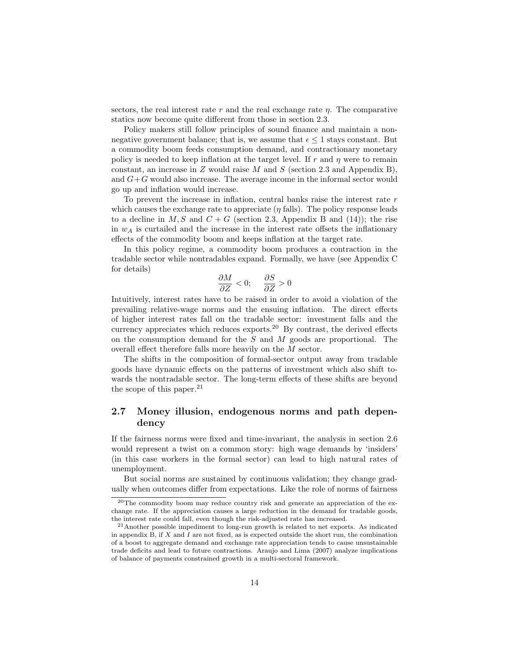sectors, the real interest rate r and the real exchange rate  $\eta$ . The comparative statics now become quite different from those in section 2.3.

Policy makers still follow principles of sound finance and maintain a nonnegative government balance; that is, we assume that  $\epsilon \leq 1$  stays constant. But a commodity boom feeds consumption demand, and contractionary monetary policy is needed to keep inflation at the target level. If r and  $\eta$  were to remain constant, an increase in Z would raise M and S (section 2.3 and Appendix B), and  $G+G$  would also increase. The average income in the informal sector would go up and inflation would increase.

To prevent the increase in inflation, central banks raise the interest rate r which causes the exchange rate to appreciate  $(\eta$  falls). The policy response leads to a decline in  $M, S$  and  $C + G$  (section 2.3, Appendix B and (14)); the rise in  $w_A$  is curtailed and the increase in the interest rate offsets the inflationary effects of the commodity boom and keeps inflation at the target rate.

In this policy regime, a commodity boom produces a contraction in the tradable sector while nontradables expand. Formally, we have (see Appendix C for details)

$$
\frac{\partial M}{\partial Z} < 0; \quad \frac{\partial S}{\partial Z} > 0
$$

Intuitively, interest rates have to be raised in order to avoid a violation of the prevailing relative-wage norms and the ensuing inflation. The direct effects of higher interest rates fall on the tradable sector: investment falls and the currency appreciates which reduces exports.<sup>20</sup> By contrast, the derived effects on the consumption demand for the  $S$  and  $M$  goods are proportional. The overall effect therefore falls more heavily on the M sector.

The shifts in the composition of formal-sector output away from tradable goods have dynamic effects on the patterns of investment which also shift towards the nontradable sector. The long-term effects of these shifts are beyond the scope of this paper. $^{21}$ 

### 2.7 Money illusion, endogenous norms and path dependency

If the fairness norms were fixed and time-invariant, the analysis in section 2.6 would represent a twist on a common story: high wage demands by 'insiders' (in this case workers in the formal sector) can lead to high natural rates of unemployment.

But social norms are sustained by continuous validation; they change gradually when outcomes differ from expectations. Like the role of norms of fairness

<sup>20</sup>The commodity boom may reduce country risk and generate an appreciation of the exchange rate. If the appreciation causes a large reduction in the demand for tradable goods, the interest rate could fall, even though the risk-adjusted rate has increased.

 $^{21}\!$  Another possible impediment to long-run growth is related to net exports. As indicated in appendix B, if  $X$  and I are not fixed, as is expected outside the short run, the combination of a boost to aggregate demand and exchange rate appreciation tends to cause unsustainable trade deficits and lead to future contractions. Araujo and Lima (2007) analyze implications of balance of payments constrained growth in a multi-sectoral framework.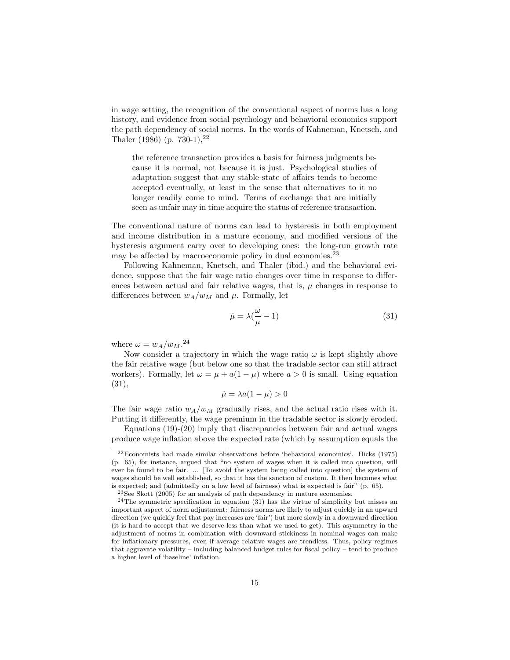in wage setting, the recognition of the conventional aspect of norms has a long history, and evidence from social psychology and behavioral economics support the path dependency of social norms. In the words of Kahneman, Knetsch, and Thaler (1986) (p. 730-1),  $2^2$ 

the reference transaction provides a basis for fairness judgments because it is normal, not because it is just. Psychological studies of adaptation suggest that any stable state of affairs tends to become accepted eventually, at least in the sense that alternatives to it no longer readily come to mind. Terms of exchange that are initially seen as unfair may in time acquire the status of reference transaction.

The conventional nature of norms can lead to hysteresis in both employment and income distribution in a mature economy, and modified versions of the hysteresis argument carry over to developing ones: the long-run growth rate may be affected by macroeconomic policy in dual economies.<sup>23</sup>

Following Kahneman, Knetsch, and Thaler (ibid.) and the behavioral evidence, suppose that the fair wage ratio changes over time in response to differences between actual and fair relative wages, that is,  $\mu$  changes in response to differences between  $w_A/w_M$  and  $\mu$ . Formally, let

$$
\hat{\mu} = \lambda \left(\frac{\omega}{\mu} - 1\right) \tag{31}
$$

where  $\omega = w_A/w_M.^{24}$ 

Now consider a trajectory in which the wage ratio  $\omega$  is kept slightly above the fair relative wage (but below one so that the tradable sector can still attract workers). Formally, let  $\omega = \mu + a(1 - \mu)$  where  $a > 0$  is small. Using equation (31),

$$
\dot{\mu} = \lambda a (1 - \mu) > 0
$$

The fair wage ratio  $w_A/w_M$  gradually rises, and the actual ratio rises with it. Putting it differently, the wage premium in the tradable sector is slowly eroded.

Equations  $(19)-(20)$  imply that discrepancies between fair and actual wages produce wage inflation above the expected rate (which by assumption equals the

 $22$ Economists had made similar observations before 'behavioral economics'. Hicks (1975) (p. 65), for instance, argued that "no system of wages when it is called into question, will ever be found to be fair. ... [To avoid the system being called into question] the system of wages should be well established, so that it has the sanction of custom. It then becomes what is expected; and (admittedly on a low level of fairness) what is expected is fair" (p. 65).

 $23$ See Skott (2005) for an analysis of path dependency in mature economies.

<sup>&</sup>lt;sup>24</sup>The symmetric specification in equation (31) has the virtue of simplicity but misses an important aspect of norm adjustment: fairness norms are likely to adjust quickly in an upward direction (we quickly feel that pay increases are 'fair') but more slowly in a downward direction (it is hard to accept that we deserve less than what we used to get). This asymmetry in the adjustment of norms in combination with downward stickiness in nominal wages can make for inflationary pressures, even if average relative wages are trendless. Thus, policy regimes that aggravate volatility – including balanced budget rules for fiscal policy – tend to produce a higher level of 'baseline' inflation.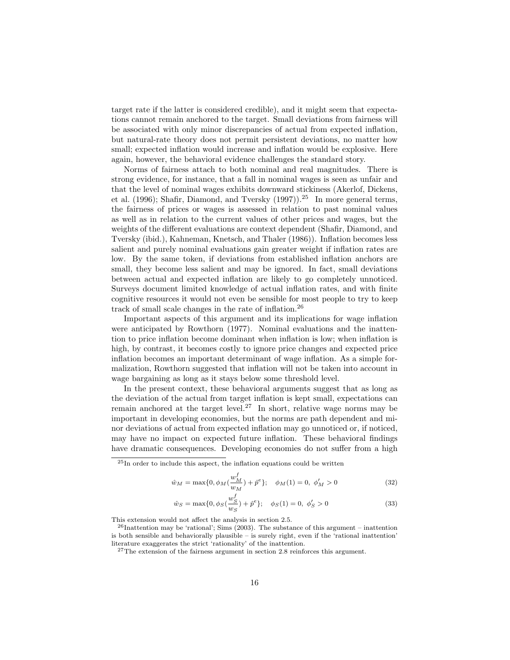target rate if the latter is considered credible), and it might seem that expectations cannot remain anchored to the target. Small deviations from fairness will be associated with only minor discrepancies of actual from expected inflation, but natural-rate theory does not permit persistent deviations, no matter how small; expected inflation would increase and inflation would be explosive. Here again, however, the behavioral evidence challenges the standard story.

Norms of fairness attach to both nominal and real magnitudes. There is strong evidence, for instance, that a fall in nominal wages is seen as unfair and that the level of nominal wages exhibits downward stickiness (Akerlof, Dickens, et al. (1996); Shafir, Diamond, and Tversky  $(1997)$ .<sup>25</sup> In more general terms, the fairness of prices or wages is assessed in relation to past nominal values as well as in relation to the current values of other prices and wages, but the weights of the different evaluations are context dependent (Shafir, Diamond, and Tversky (ibid.), Kahneman, Knetsch, and Thaler (1986)). Inflation becomes less salient and purely nominal evaluations gain greater weight if inflation rates are low. By the same token, if deviations from established inflation anchors are small, they become less salient and may be ignored. In fact, small deviations between actual and expected inflation are likely to go completely unnoticed. Surveys document limited knowledge of actual inflation rates, and with finite cognitive resources it would not even be sensible for most people to try to keep track of small scale changes in the rate of inflation.<sup>26</sup>

Important aspects of this argument and its implications for wage inflation were anticipated by Rowthorn (1977). Nominal evaluations and the inattention to price inflation become dominant when inflation is low; when inflation is high, by contrast, it becomes costly to ignore price changes and expected price inflation becomes an important determinant of wage inflation. As a simple formalization, Rowthorn suggested that inflation will not be taken into account in wage bargaining as long as it stays below some threshold level.

In the present context, these behavioral arguments suggest that as long as the deviation of the actual from target inflation is kept small, expectations can remain anchored at the target level.<sup>27</sup> In short, relative wage norms may be important in developing economies, but the norms are path dependent and minor deviations of actual from expected inflation may go unnoticed or, if noticed, may have no impact on expected future inflation. These behavioral findings have dramatic consequences. Developing economies do not suffer from a high

$$
\hat{w}_M = \max\{0, \phi_M(\frac{w_M^f}{w_M}) + \hat{p}^e\}; \quad \phi_M(1) = 0, \ \phi_M' > 0 \tag{32}
$$

$$
\hat{w}_S = \max\{0, \phi_S(\frac{w_S^f}{w_S}) + \hat{p}^e\}; \quad \phi_S(1) = 0, \ \phi_S' > 0 \tag{33}
$$

This extension would not affect the analysis in section 2.5.

 $25$ In order to include this aspect, the inflation equations could be written

 $^{26}$ Inattention may be 'rational'; Sims (2003). The substance of this argument – inattention is both sensible and behaviorally plausible – is surely right, even if the 'rational inattention' literature exaggerates the strict 'rationality' of the inattention.

<sup>27</sup>The extension of the fairness argument in section 2.8 reinforces this argument.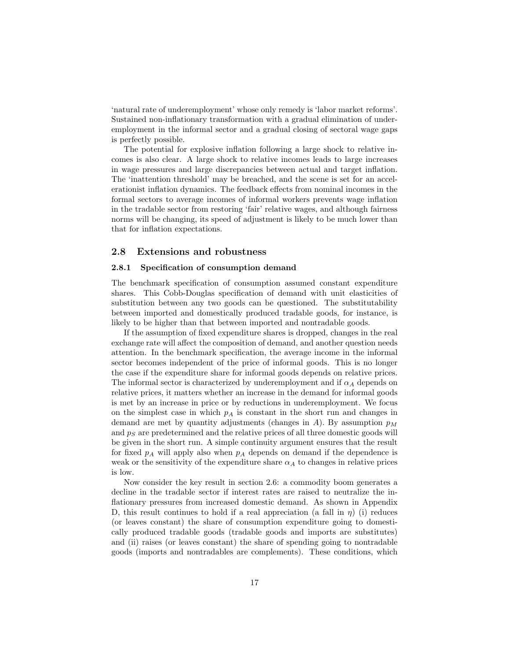'natural rate of underemployment' whose only remedy is 'labor market reforms'. Sustained non-inflationary transformation with a gradual elimination of underemployment in the informal sector and a gradual closing of sectoral wage gaps is perfectly possible.

The potential for explosive inflation following a large shock to relative incomes is also clear. A large shock to relative incomes leads to large increases in wage pressures and large discrepancies between actual and target inflation. The 'inattention threshold' may be breached, and the scene is set for an accelerationist inflation dynamics. The feedback effects from nominal incomes in the formal sectors to average incomes of informal workers prevents wage inflation in the tradable sector from restoring 'fair' relative wages, and although fairness norms will be changing, its speed of adjustment is likely to be much lower than that for inflation expectations.

#### 2.8 Extensions and robustness

#### 2.8.1 Specification of consumption demand

The benchmark specification of consumption assumed constant expenditure shares. This Cobb-Douglas specification of demand with unit elasticities of substitution between any two goods can be questioned. The substitutability between imported and domestically produced tradable goods, for instance, is likely to be higher than that between imported and nontradable goods.

If the assumption of fixed expenditure shares is dropped, changes in the real exchange rate will affect the composition of demand, and another question needs attention. In the benchmark specification, the average income in the informal sector becomes independent of the price of informal goods. This is no longer the case if the expenditure share for informal goods depends on relative prices. The informal sector is characterized by underemployment and if  $\alpha_A$  depends on relative prices, it matters whether an increase in the demand for informal goods is met by an increase in price or by reductions in underemployment. We focus on the simplest case in which  $p_A$  is constant in the short run and changes in demand are met by quantity adjustments (changes in A). By assumption  $p_M$ and  $p<sub>S</sub>$  are predetermined and the relative prices of all three domestic goods will be given in the short run. A simple continuity argument ensures that the result for fixed  $p_A$  will apply also when  $p_A$  depends on demand if the dependence is weak or the sensitivity of the expenditure share  $\alpha_A$  to changes in relative prices is low.

Now consider the key result in section 2.6: a commodity boom generates a decline in the tradable sector if interest rates are raised to neutralize the inflationary pressures from increased domestic demand. As shown in Appendix D, this result continues to hold if a real appreciation (a fall in  $\eta$ ) (i) reduces (or leaves constant) the share of consumption expenditure going to domestically produced tradable goods (tradable goods and imports are substitutes) and (ii) raises (or leaves constant) the share of spending going to nontradable goods (imports and nontradables are complements). These conditions, which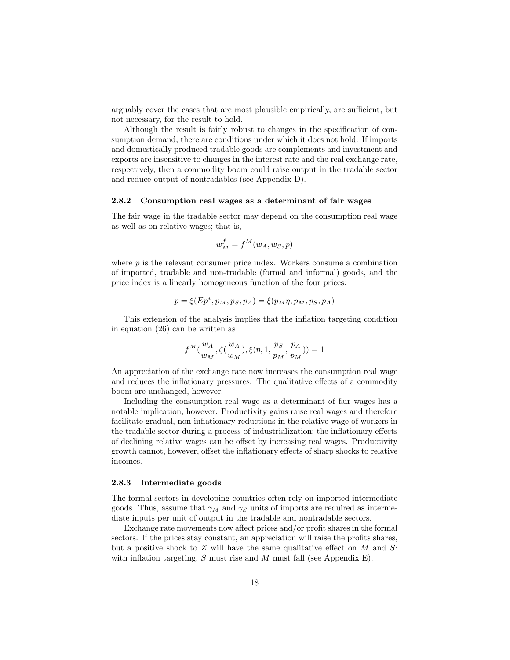arguably cover the cases that are most plausible empirically, are sufficient, but not necessary, for the result to hold.

Although the result is fairly robust to changes in the specification of consumption demand, there are conditions under which it does not hold. If imports and domestically produced tradable goods are complements and investment and exports are insensitive to changes in the interest rate and the real exchange rate, respectively, then a commodity boom could raise output in the tradable sector and reduce output of nontradables (see Appendix D).

#### 2.8.2 Consumption real wages as a determinant of fair wages

The fair wage in the tradable sector may depend on the consumption real wage as well as on relative wages; that is,

$$
w_M^f = f^M(w_A, w_S, p)
$$

where  $p$  is the relevant consumer price index. Workers consume a combination of imported, tradable and non-tradable (formal and informal) goods, and the price index is a linearly homogeneous function of the four prices:

$$
p = \xi (Ep^*, p_M, p_S, p_A) = \xi (p_M \eta, p_M, p_S, p_A)
$$

This extension of the analysis implies that the inflation targeting condition in equation (26) can be written as

$$
f^M(\frac{w_A}{w_M}, \zeta(\frac{w_A}{w_M}), \xi(\eta, 1, \frac{ps}{p_M}, \frac{p_A}{p_M})) = 1
$$

An appreciation of the exchange rate now increases the consumption real wage and reduces the inflationary pressures. The qualitative effects of a commodity boom are unchanged, however.

Including the consumption real wage as a determinant of fair wages has a notable implication, however. Productivity gains raise real wages and therefore facilitate gradual, non-inflationary reductions in the relative wage of workers in the tradable sector during a process of industrialization; the inflationary effects of declining relative wages can be offset by increasing real wages. Productivity growth cannot, however, offset the inflationary effects of sharp shocks to relative incomes.

#### 2.8.3 Intermediate goods

The formal sectors in developing countries often rely on imported intermediate goods. Thus, assume that  $\gamma_M$  and  $\gamma_S$  units of imports are required as intermediate inputs per unit of output in the tradable and nontradable sectors.

Exchange rate movements now affect prices and/or profit shares in the formal sectors. If the prices stay constant, an appreciation will raise the profits shares, but a positive shock to  $Z$  will have the same qualitative effect on  $M$  and  $S$ : with inflation targeting,  $S$  must rise and  $M$  must fall (see Appendix E).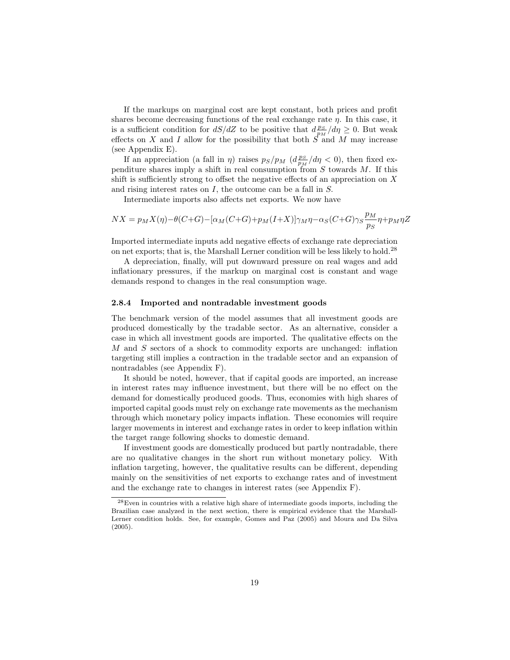If the markups on marginal cost are kept constant, both prices and profit shares become decreasing functions of the real exchange rate  $\eta$ . In this case, it is a sufficient condition for  $dS/dZ$  to be positive that  $d_{p_M}^{PS}/d\eta \geq 0$ . But weak effects on X and I allow for the possibility that both  $S$  and M may increase (see Appendix E).

If an appreciation (a fall in  $\eta$ ) raises  $p_S/p_M$  ( $d_{p_M}^{PS}/d\eta < 0$ ), then fixed expenditure shares imply a shift in real consumption  $\tilde{f}$  consumption S towards M. If this shift is sufficiently strong to offset the negative effects of an appreciation on  $X$ and rising interest rates on I, the outcome can be a fall in S.

Intermediate imports also affects net exports. We now have

$$
NX = p_M X(\eta) - \theta(C+G) - [\alpha_M(C+G) + p_M(I+X)]\gamma_M\eta - \alpha_S(C+G)\gamma_S \frac{p_M}{p_S}\eta + p_M\eta Z
$$

Imported intermediate inputs add negative effects of exchange rate depreciation on net exports; that is, the Marshall Lerner condition will be less likely to hold.<sup>28</sup>

A depreciation, finally, will put downward pressure on real wages and add inflationary pressures, if the markup on marginal cost is constant and wage demands respond to changes in the real consumption wage.

#### 2.8.4 Imported and nontradable investment goods

The benchmark version of the model assumes that all investment goods are produced domestically by the tradable sector. As an alternative, consider a case in which all investment goods are imported. The qualitative effects on the M and S sectors of a shock to commodity exports are unchanged: inflation targeting still implies a contraction in the tradable sector and an expansion of nontradables (see Appendix F).

It should be noted, however, that if capital goods are imported, an increase in interest rates may influence investment, but there will be no effect on the demand for domestically produced goods. Thus, economies with high shares of imported capital goods must rely on exchange rate movements as the mechanism through which monetary policy impacts inflation. These economies will require larger movements in interest and exchange rates in order to keep inflation within the target range following shocks to domestic demand.

If investment goods are domestically produced but partly nontradable, there are no qualitative changes in the short run without monetary policy. With inflation targeting, however, the qualitative results can be different, depending mainly on the sensitivities of net exports to exchange rates and of investment and the exchange rate to changes in interest rates (see Appendix F).

 $^{28}\rm{Even}$  in countries with a relative high share of intermediate goods imports, including the Brazilian case analyzed in the next section, there is empirical evidence that the Marshall-Lerner condition holds. See, for example, Gomes and Paz (2005) and Moura and Da Silva (2005).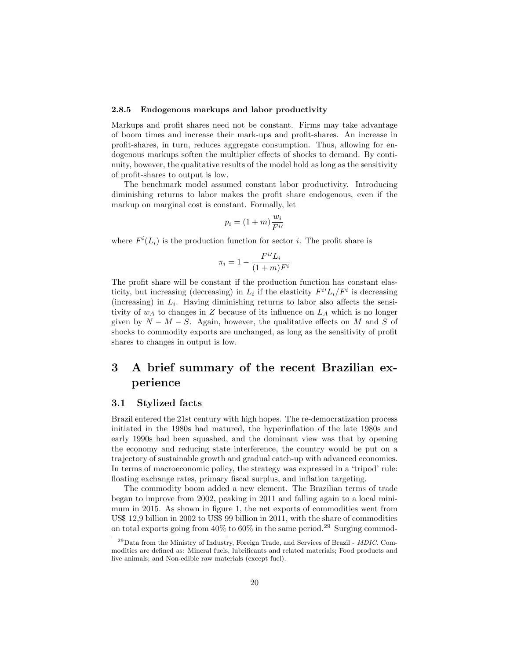#### 2.8.5 Endogenous markups and labor productivity

Markups and profit shares need not be constant. Firms may take advantage of boom times and increase their mark-ups and profit-shares. An increase in profit-shares, in turn, reduces aggregate consumption. Thus, allowing for endogenous markups soften the multiplier effects of shocks to demand. By continuity, however, the qualitative results of the model hold as long as the sensitivity of profit-shares to output is low.

The benchmark model assumed constant labor productivity. Introducing diminishing returns to labor makes the profit share endogenous, even if the markup on marginal cost is constant. Formally, let

$$
p_i = (1+m)\frac{w_i}{F^{i'}}
$$

where  $F^i(L_i)$  is the production function for sector *i*. The profit share is

$$
\pi_i = 1 - \frac{F^{i} L_i}{(1+m)F^i}
$$

The profit share will be constant if the production function has constant elasticity, but increasing (decreasing) in  $L_i$  if the elasticity  $F^{i'}L_i/F^{i}$  is decreasing (increasing) in  $L_i$ . Having diminishing returns to labor also affects the sensitivity of  $w_A$  to changes in Z because of its influence on  $L_A$  which is no longer given by  $N - M - S$ . Again, however, the qualitative effects on M and S of shocks to commodity exports are unchanged, as long as the sensitivity of profit shares to changes in output is low.

# 3 A brief summary of the recent Brazilian experience

#### 3.1 Stylized facts

Brazil entered the 21st century with high hopes. The re-democratization process initiated in the 1980s had matured, the hyperinflation of the late 1980s and early 1990s had been squashed, and the dominant view was that by opening the economy and reducing state interference, the country would be put on a trajectory of sustainable growth and gradual catch-up with advanced economies. In terms of macroeconomic policy, the strategy was expressed in a 'tripod' rule: floating exchange rates, primary fiscal surplus, and inflation targeting.

The commodity boom added a new element. The Brazilian terms of trade began to improve from 2002, peaking in 2011 and falling again to a local minimum in 2015. As shown in figure 1, the net exports of commodities went from US\$ 12,9 billion in 2002 to US\$ 99 billion in 2011, with the share of commodities on total exports going from  $40\%$  to  $60\%$  in the same period.<sup>29</sup> Surging commod-

 $^{29}$ Data from the Ministry of Industry, Foreign Trade, and Services of Brazil - *MDIC*. Commodities are defined as: Mineral fuels, lubrificants and related materials; Food products and live animals; and Non-edible raw materials (except fuel).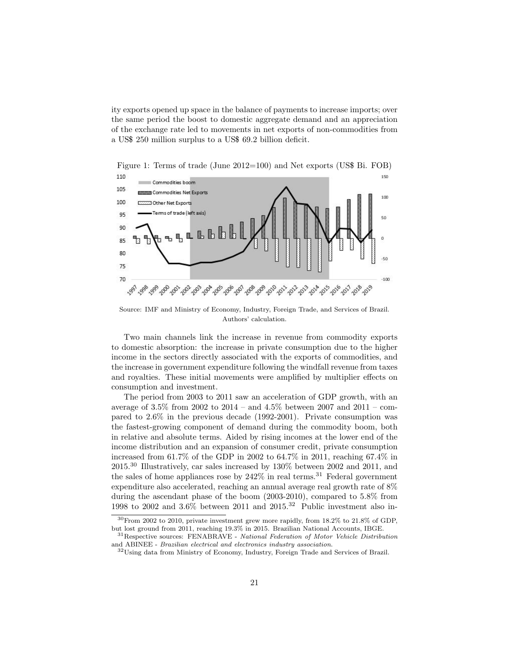ity exports opened up space in the balance of payments to increase imports; over the same period the boost to domestic aggregate demand and an appreciation of the exchange rate led to movements in net exports of non-commodities from a US\$ 250 million surplus to a US\$ 69.2 billion deficit.



Source: IMF and Ministry of Economy, Industry, Foreign Trade, and Services of Brazil. Authors' calculation.

Two main channels link the increase in revenue from commodity exports to domestic absorption: the increase in private consumption due to the higher income in the sectors directly associated with the exports of commodities, and the increase in government expenditure following the windfall revenue from taxes and royalties. These initial movements were amplified by multiplier effects on consumption and investment.

The period from 2003 to 2011 saw an acceleration of GDP growth, with an average of 3.5% from 2002 to 2014 – and 4.5% between 2007 and 2011 – compared to 2.6% in the previous decade (1992-2001). Private consumption was the fastest-growing component of demand during the commodity boom, both in relative and absolute terms. Aided by rising incomes at the lower end of the income distribution and an expansion of consumer credit, private consumption increased from 61.7% of the GDP in 2002 to 64.7% in 2011, reaching 67.4% in 2015.<sup>30</sup> Illustratively, car sales increased by 130% between 2002 and 2011, and the sales of home appliances rose by  $242\%$  in real terms.<sup>31</sup> Federal government expenditure also accelerated, reaching an annual average real growth rate of 8% during the ascendant phase of the boom (2003-2010), compared to 5.8% from 1998 to 2002 and  $3.6\%$  between 2011 and 2015.<sup>32</sup> Public investment also in-

 $30$  From 2002 to 2010, private investment grew more rapidly, from 18.2% to 21.8% of GDP, but lost ground from 2011, reaching 19.3% in 2015. Brazilian National Accounts, IBGE.

<sup>&</sup>lt;sup>31</sup>Respective sources: FENABRAVE - National Federation of Motor Vehicle Distribution and ABINEE - Brazilian electrical and electronics industry association.

<sup>32</sup>Using data from Ministry of Economy, Industry, Foreign Trade and Services of Brazil.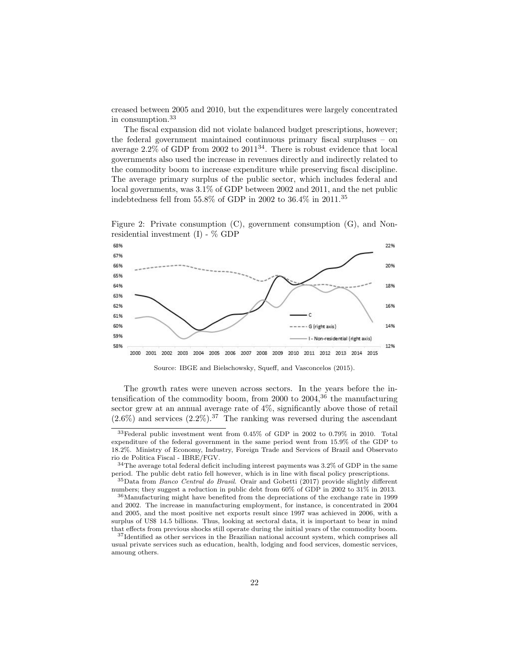creased between 2005 and 2010, but the expenditures were largely concentrated in consumption.<sup>33</sup>

The fiscal expansion did not violate balanced budget prescriptions, however; the federal government maintained continuous primary fiscal surpluses – on average  $2.2\%$  of GDP from 2002 to  $2011^{34}$ . There is robust evidence that local governments also used the increase in revenues directly and indirectly related to the commodity boom to increase expenditure while preserving fiscal discipline. The average primary surplus of the public sector, which includes federal and local governments, was 3.1% of GDP between 2002 and 2011, and the net public indebtedness fell from 55.8% of GDP in 2002 to 36.4% in 2011.<sup>35</sup>

Figure 2: Private consumption (C), government consumption (G), and Nonresidential investment  $(I)$  -  $\%$  GDP



Source: IBGE and Bielschowsky, Squeff, and Vasconcelos (2015).

The growth rates were uneven across sectors. In the years before the intensification of the commodity boom, from 2000 to  $2004<sup>36</sup>$  the manufacturing sector grew at an annual average rate of  $4\%$ , significantly above those of retail  $(2.6\%)$  and services  $(2.2\%)$ .<sup>37</sup> The ranking was reversed during the ascendant

<sup>33</sup>Federal public investment went from 0.45% of GDP in 2002 to 0.79% in 2010. Total expenditure of the federal government in the same period went from 15.9% of the GDP to 18.2%. Ministry of Economy, Industry, Foreign Trade and Services of Brazil and Observato rio de Politica Fiscal - IBRE/FGV.

<sup>34</sup>The average total federal deficit including interest payments was 3.2% of GDP in the same period. The public debt ratio fell however, which is in line with fiscal policy prescriptions.

<sup>35</sup>Data from Banco Central do Brasil. Orair and Gobetti (2017) provide slightly different numbers; they suggest a reduction in public debt from 60% of GDP in 2002 to 31% in 2013.

<sup>&</sup>lt;sup>36</sup>Manufacturing might have benefited from the depreciations of the exchange rate in 1999 and 2002. The increase in manufacturing employment, for instance, is concentrated in 2004 and 2005, and the most positive net exports result since 1997 was achieved in 2006, with a surplus of US\$ 14.5 billions. Thus, looking at sectoral data, it is important to bear in mind that effects from previous shocks still operate during the initial years of the commodity boom.

<sup>&</sup>lt;sup>37</sup>Identified as other services in the Brazilian national account system, which comprises all usual private services such as education, health, lodging and food services, domestic services, amoung others.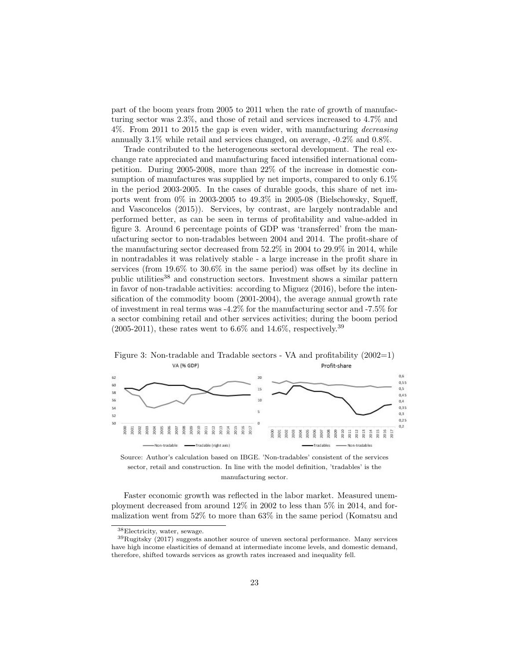part of the boom years from 2005 to 2011 when the rate of growth of manufacturing sector was 2.3%, and those of retail and services increased to 4.7% and 4%. From 2011 to 2015 the gap is even wider, with manufacturing *decreasing* annually 3.1% while retail and services changed, on average, -0.2% and 0.8%.

Trade contributed to the heterogeneous sectoral development. The real exchange rate appreciated and manufacturing faced intensified international competition. During 2005-2008, more than 22% of the increase in domestic consumption of manufactures was supplied by net imports, compared to only 6.1% in the period 2003-2005. In the cases of durable goods, this share of net imports went from 0% in 2003-2005 to 49.3% in 2005-08 (Bielschowsky, Squeff, and Vasconcelos (2015)). Services, by contrast, are largely nontradable and performed better, as can be seen in terms of profitability and value-added in figure 3. Around 6 percentage points of GDP was 'transferred' from the manufacturing sector to non-tradables between 2004 and 2014. The profit-share of the manufacturing sector decreased from 52.2% in 2004 to 29.9% in 2014, while in nontradables it was relatively stable - a large increase in the profit share in services (from 19.6% to 30.6% in the same period) was offset by its decline in public utilities $38$  and construction sectors. Investment shows a similar pattern in favor of non-tradable activities: according to Miguez (2016), before the intensification of the commodity boom (2001-2004), the average annual growth rate of investment in real terms was -4.2% for the manufacturing sector and -7.5% for a sector combining retail and other services activities; during the boom period  $(2005-2011)$ , these rates went to 6.6% and 14.6%, respectively.<sup>39</sup>



Figure 3: Non-tradable and Tradable sectors - VA and profitability (2002=1) VA (% GDP) Profit-share

Source: Author's calculation based on IBGE. 'Non-tradables' consistent of the services sector, retail and construction. In line with the model definition, 'tradables' is the manufacturing sector.

Faster economic growth was reflected in the labor market. Measured unemployment decreased from around 12% in 2002 to less than 5% in 2014, and formalization went from 52% to more than 63% in the same period (Komatsu and

<sup>38</sup>Electricity, water, sewage.

 $39$ Rugitsky (2017) suggests another source of uneven sectoral performance. Many services have high income elasticities of demand at intermediate income levels, and domestic demand, therefore, shifted towards services as growth rates increased and inequality fell.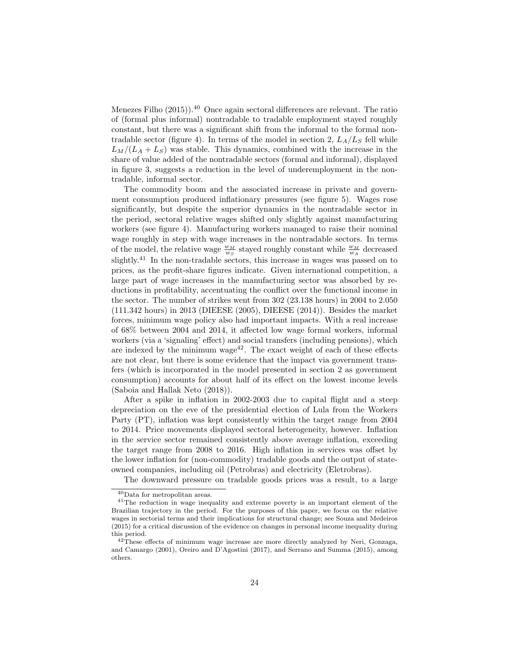Menezes Filho  $(2015)$ .<sup>40</sup> Once again sectoral differences are relevant. The ratio of (formal plus informal) nontradable to tradable employment stayed roughly constant, but there was a significant shift from the informal to the formal nontradable sector (figure 4). In terms of the model in section 2,  $L_A/L_S$  fell while  $L_M/(L_A + L_S)$  was stable. This dynamics, combined with the increase in the share of value added of the nontradable sectors (formal and informal), displayed in figure 3, suggests a reduction in the level of underemployment in the nontradable, informal sector.

The commodity boom and the associated increase in private and government consumption produced inflationary pressures (see figure 5). Wages rose significantly, but despite the superior dynamics in the nontradable sector in the period, sectoral relative wages shifted only slightly against manufacturing workers (see figure 4). Manufacturing workers managed to raise their nominal wage roughly in step with wage increases in the nontradable sectors. In terms of the model, the relative wage  $\frac{w_M}{w_S}$  stayed roughly constant while  $\frac{w_M}{w_A}$  decreased slightly.<sup>41</sup> In the non-tradable sectors, this increase in wages was passed on to prices, as the profit-share figures indicate. Given international competition, a large part of wage increases in the manufacturing sector was absorbed by reductions in profitability, accentuating the conflict over the functional income in the sector. The number of strikes went from 302 (23.138 hours) in 2004 to 2.050 (111.342 hours) in 2013 (DIEESE (2005), DIEESE (2014)). Besides the market forces, minimum wage policy also had important impacts. With a real increase of 68% between 2004 and 2014, it affected low wage formal workers, informal workers (via a 'signaling' effect) and social transfers (including pensions), which are indexed by the minimum wage<sup>42</sup>. The exact weight of each of these effects are not clear, but there is some evidence that the impact via government transfers (which is incorporated in the model presented in section 2 as government consumption) accounts for about half of its effect on the lowest income levels (Saboia and Hallak Neto (2018)).

After a spike in inflation in 2002-2003 due to capital flight and a steep depreciation on the eve of the presidential election of Lula from the Workers Party (PT), inflation was kept consistently within the target range from 2004 to 2014. Price movements displayed sectoral heterogeneity, however. Inflation in the service sector remained consistently above average inflation, exceeding the target range from 2008 to 2016. High inflation in services was offset by the lower inflation for (non-commodity) tradable goods and the output of stateowned companies, including oil (Petrobras) and electricity (Eletrobras).

The downward pressure on tradable goods prices was a result, to a large

<sup>40</sup>Data for metropolitan areas.

<sup>41</sup>The reduction in wage inequality and extreme poverty is an important element of the Brazilian trajectory in the period. For the purposes of this paper, we focus on the relative wages in sectorial terms and their implications for structural change; see Souza and Medeiros (2015) for a critical discussion of the evidence on changes in personal income inequality during this period.

 $42$ These effects of minimum wage increase are more directly analyzed by Neri, Gonzaga, and Camargo (2001), Oreiro and D'Agostini (2017), and Serrano and Summa (2015), among others.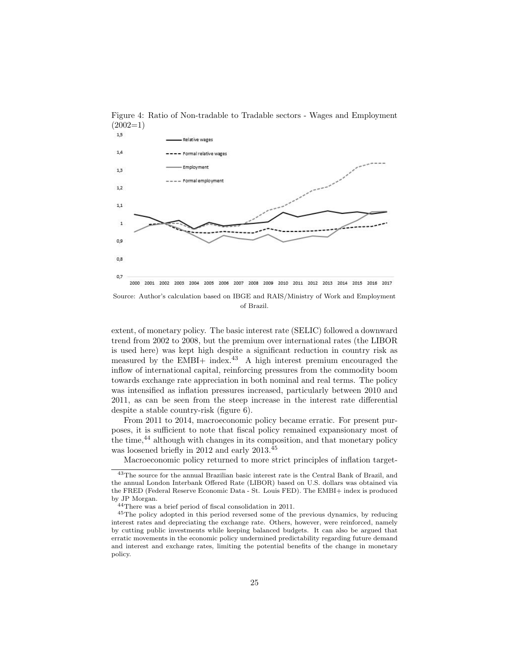

Figure 4: Ratio of Non-tradable to Tradable sectors - Wages and Employment  $(2002=1)$ 

of Brazil.

extent, of monetary policy. The basic interest rate (SELIC) followed a downward trend from 2002 to 2008, but the premium over international rates (the LIBOR is used here) was kept high despite a significant reduction in country risk as measured by the EMBI+ index.<sup>43</sup> A high interest premium encouraged the inflow of international capital, reinforcing pressures from the commodity boom towards exchange rate appreciation in both nominal and real terms. The policy was intensified as inflation pressures increased, particularly between 2010 and 2011, as can be seen from the steep increase in the interest rate differential despite a stable country-risk (figure 6).

From 2011 to 2014, macroeconomic policy became erratic. For present purposes, it is sufficient to note that fiscal policy remained expansionary most of the time,<sup>44</sup> although with changes in its composition, and that monetary policy was loosened briefly in 2012 and early 2013.<sup>45</sup>

Macroeconomic policy returned to more strict principles of inflation target-

<sup>43</sup>The source for the annual Brazilian basic interest rate is the Central Bank of Brazil, and the annual London Interbank Offered Rate (LIBOR) based on U.S. dollars was obtained via the FRED (Federal Reserve Economic Data - St. Louis FED). The EMBI+ index is produced by JP Morgan.

<sup>44</sup>There was a brief period of fiscal consolidation in 2011.

<sup>45</sup>The policy adopted in this period reversed some of the previous dynamics, by reducing interest rates and depreciating the exchange rate. Others, however, were reinforced, namely by cutting public investments while keeping balanced budgets. It can also be argued that erratic movements in the economic policy undermined predictability regarding future demand and interest and exchange rates, limiting the potential benefits of the change in monetary policy.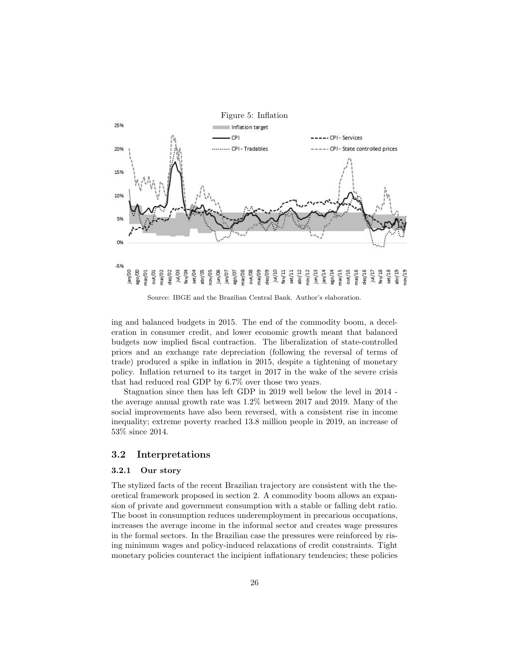

Source: IBGE and the Brazilian Central Bank. Author's elaboration.

ing and balanced budgets in 2015. The end of the commodity boom, a deceleration in consumer credit, and lower economic growth meant that balanced budgets now implied fiscal contraction. The liberalization of state-controlled prices and an exchange rate depreciation (following the reversal of terms of trade) produced a spike in inflation in 2015, despite a tightening of monetary policy. Inflation returned to its target in 2017 in the wake of the severe crisis that had reduced real GDP by 6.7% over those two years.

Stagnation since then has left GDP in 2019 well below the level in 2014 the average annual growth rate was 1.2% between 2017 and 2019. Many of the social improvements have also been reversed, with a consistent rise in income inequality; extreme poverty reached 13.8 million people in 2019, an increase of 53% since 2014.

### 3.2 Interpretations

#### 3.2.1 Our story

The stylized facts of the recent Brazilian trajectory are consistent with the theoretical framework proposed in section 2. A commodity boom allows an expansion of private and government consumption with a stable or falling debt ratio. The boost in consumption reduces underemployment in precarious occupations, increases the average income in the informal sector and creates wage pressures in the formal sectors. In the Brazilian case the pressures were reinforced by rising minimum wages and policy-induced relaxations of credit constraints. Tight monetary policies counteract the incipient inflationary tendencies; these policies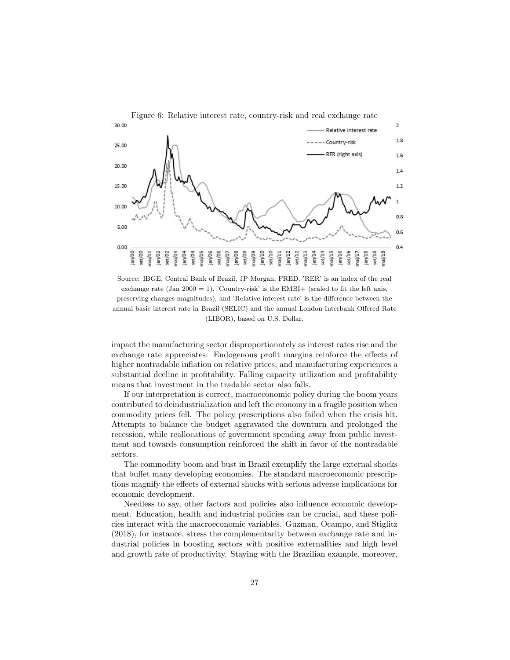

Source: IBGE, Central Bank of Brazil, JP Morgan, FRED. 'RER' is an index of the real exchange rate (Jan 2000 = 1), 'Country-risk' is the EMBI+ (scaled to fit the left axis, preserving changes magnitudes), and 'Relative interest rate' is the difference between the annual basic interest rate in Brazil (SELIC) and the annual London Interbank Offered Rate (LIBOR), based on U.S. Dollar.

impact the manufacturing sector disproportionately as interest rates rise and the exchange rate appreciates. Endogenous profit margins reinforce the effects of higher nontradable inflation on relative prices, and manufacturing experiences a substantial decline in profitability. Falling capacity utilization and profitability means that investment in the tradable sector also falls.

If our interpretation is correct, macroeconomic policy during the boom years contributed to deindustrialization and left the economy in a fragile position when commodity prices fell. The policy prescriptions also failed when the crisis hit. Attempts to balance the budget aggravated the downturn and prolonged the recession, while reallocations of government spending away from public investment and towards consumption reinforced the shift in favor of the nontradable sectors.

The commodity boom and bust in Brazil exemplify the large external shocks that buffet many developing economies. The standard macroeconomic prescriptions magnify the effects of external shocks with serious adverse implications for economic development.

Needless to say, other factors and policies also influence economic development. Education, health and industrial policies can be crucial, and these policies interact with the macroeconomic variables. Guzman, Ocampo, and Stiglitz (2018), for instance, stress the complementarity between exchange rate and industrial policies in boosting sectors with positive externalities and high level and growth rate of productivity. Staying with the Brazilian example, moreover,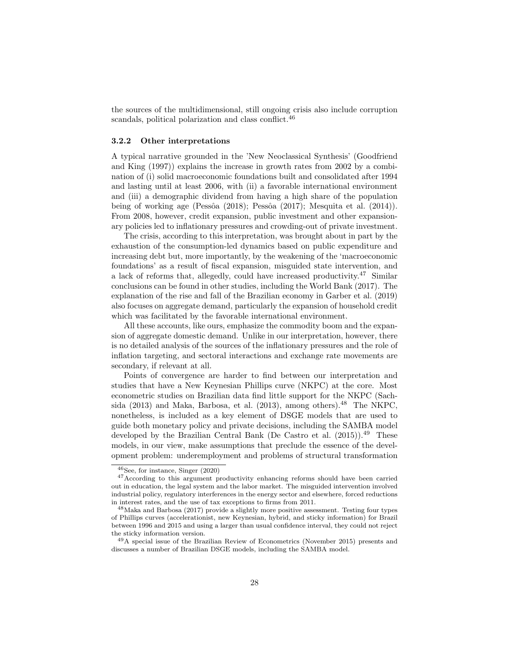the sources of the multidimensional, still ongoing crisis also include corruption scandals, political polarization and class conflict.<sup>46</sup>

#### 3.2.2 Other interpretations

A typical narrative grounded in the 'New Neoclassical Synthesis' (Goodfriend and King (1997)) explains the increase in growth rates from 2002 by a combination of (i) solid macroeconomic foundations built and consolidated after 1994 and lasting until at least 2006, with (ii) a favorable international environment and (iii) a demographic dividend from having a high share of the population being of working age (Pessôa (2018); Pessôa (2017); Mesquita et al.  $(2014)$ ). From 2008, however, credit expansion, public investment and other expansionary policies led to inflationary pressures and crowding-out of private investment.

The crisis, according to this interpretation, was brought about in part by the exhaustion of the consumption-led dynamics based on public expenditure and increasing debt but, more importantly, by the weakening of the 'macroeconomic foundations' as a result of fiscal expansion, misguided state intervention, and a lack of reforms that, allegedly, could have increased productivity.<sup>47</sup> Similar conclusions can be found in other studies, including the World Bank (2017). The explanation of the rise and fall of the Brazilian economy in Garber et al. (2019) also focuses on aggregate demand, particularly the expansion of household credit which was facilitated by the favorable international environment.

All these accounts, like ours, emphasize the commodity boom and the expansion of aggregate domestic demand. Unlike in our interpretation, however, there is no detailed analysis of the sources of the inflationary pressures and the role of inflation targeting, and sectoral interactions and exchange rate movements are secondary, if relevant at all.

Points of convergence are harder to find between our interpretation and studies that have a New Keynesian Phillips curve (NKPC) at the core. Most econometric studies on Brazilian data find little support for the NKPC (Sachsida (2013) and Maka, Barbosa, et al. (2013), among others).<sup>48</sup> The NKPC, nonetheless, is included as a key element of DSGE models that are used to guide both monetary policy and private decisions, including the SAMBA model developed by the Brazilian Central Bank (De Castro et al.  $(2015)$ ).<sup>49</sup> These models, in our view, make assumptions that preclude the essence of the development problem: underemployment and problems of structural transformation

<sup>46</sup>See, for instance, Singer (2020)

<sup>&</sup>lt;sup>47</sup>According to this argument productivity enhancing reforms should have been carried out in education, the legal system and the labor market. The misguided intervention involved industrial policy, regulatory interferences in the energy sector and elsewhere, forced reductions in interest rates, and the use of tax exceptions to firms from 2011.

<sup>48</sup>Maka and Barbosa (2017) provide a slightly more positive assessment. Testing four types of Phillips curves (accelerationist, new Keynesian, hybrid, and sticky information) for Brazil between 1996 and 2015 and using a larger than usual confidence interval, they could not reject the sticky information version.

<sup>49</sup>A special issue of the Brazilian Review of Econometrics (November 2015) presents and discusses a number of Brazilian DSGE models, including the SAMBA model.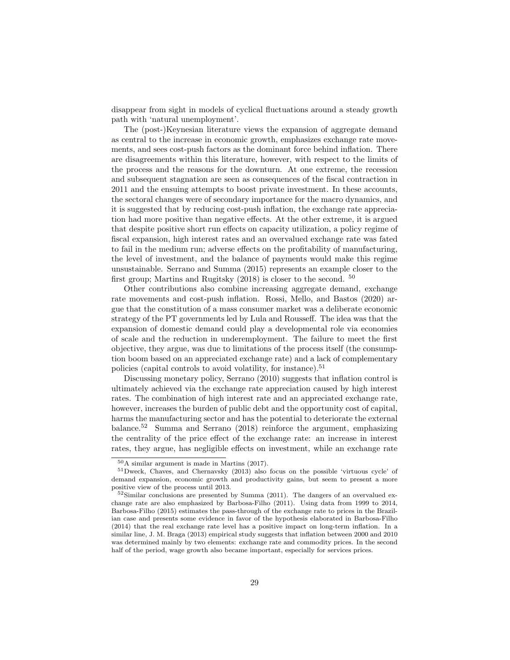disappear from sight in models of cyclical fluctuations around a steady growth path with 'natural unemployment'.

The (post-)Keynesian literature views the expansion of aggregate demand as central to the increase in economic growth, emphasizes exchange rate movements, and sees cost-push factors as the dominant force behind inflation. There are disagreements within this literature, however, with respect to the limits of the process and the reasons for the downturn. At one extreme, the recession and subsequent stagnation are seen as consequences of the fiscal contraction in 2011 and the ensuing attempts to boost private investment. In these accounts, the sectoral changes were of secondary importance for the macro dynamics, and it is suggested that by reducing cost-push inflation, the exchange rate appreciation had more positive than negative effects. At the other extreme, it is argued that despite positive short run effects on capacity utilization, a policy regime of fiscal expansion, high interest rates and an overvalued exchange rate was fated to fail in the medium run; adverse effects on the profitability of manufacturing, the level of investment, and the balance of payments would make this regime unsustainable. Serrano and Summa (2015) represents an example closer to the first group; Martins and Rugitsky (2018) is closer to the second. <sup>50</sup>

Other contributions also combine increasing aggregate demand, exchange rate movements and cost-push inflation. Rossi, Mello, and Bastos (2020) argue that the constitution of a mass consumer market was a deliberate economic strategy of the PT governments led by Lula and Rousseff. The idea was that the expansion of domestic demand could play a developmental role via economies of scale and the reduction in underemployment. The failure to meet the first objective, they argue, was due to limitations of the process itself (the consumption boom based on an appreciated exchange rate) and a lack of complementary policies (capital controls to avoid volatility, for instance).<sup>51</sup>

Discussing monetary policy, Serrano (2010) suggests that inflation control is ultimately achieved via the exchange rate appreciation caused by high interest rates. The combination of high interest rate and an appreciated exchange rate, however, increases the burden of public debt and the opportunity cost of capital, harms the manufacturing sector and has the potential to deteriorate the external balance.<sup>52</sup> Summa and Serrano (2018) reinforce the argument, emphasizing the centrality of the price effect of the exchange rate: an increase in interest rates, they argue, has negligible effects on investment, while an exchange rate

<sup>50</sup>A similar argument is made in Martins (2017).

<sup>51</sup>Dweck, Chaves, and Chernavsky (2013) also focus on the possible 'virtuous cycle' of demand expansion, economic growth and productivity gains, but seem to present a more positive view of the process until 2013.

 $52$ Similar conclusions are presented by Summa (2011). The dangers of an overvalued exchange rate are also emphasized by Barbosa-Filho (2011). Using data from 1999 to 2014, Barbosa-Filho (2015) estimates the pass-through of the exchange rate to prices in the Brazilian case and presents some evidence in favor of the hypothesis elaborated in Barbosa-Filho (2014) that the real exchange rate level has a positive impact on long-term inflation. In a similar line, J. M. Braga (2013) empirical study suggests that inflation between 2000 and 2010 was determined mainly by two elements: exchange rate and commodity prices. In the second half of the period, wage growth also became important, especially for services prices.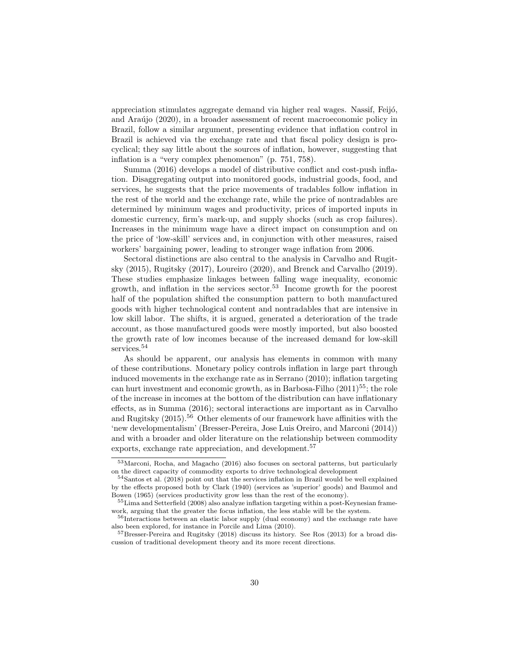appreciation stimulates aggregate demand via higher real wages. Nassif, Feijó, and Araújo (2020), in a broader assessment of recent macroeconomic policy in Brazil, follow a similar argument, presenting evidence that inflation control in Brazil is achieved via the exchange rate and that fiscal policy design is procyclical; they say little about the sources of inflation, however, suggesting that inflation is a "very complex phenomenon" (p. 751, 758).

Summa (2016) develops a model of distributive conflict and cost-push inflation. Disaggregating output into monitored goods, industrial goods, food, and services, he suggests that the price movements of tradables follow inflation in the rest of the world and the exchange rate, while the price of nontradables are determined by minimum wages and productivity, prices of imported inputs in domestic currency, firm's mark-up, and supply shocks (such as crop failures). Increases in the minimum wage have a direct impact on consumption and on the price of 'low-skill' services and, in conjunction with other measures, raised workers' bargaining power, leading to stronger wage inflation from 2006.

Sectoral distinctions are also central to the analysis in Carvalho and Rugitsky (2015), Rugitsky (2017), Loureiro (2020), and Brenck and Carvalho (2019). These studies emphasize linkages between falling wage inequality, economic growth, and inflation in the services sector.<sup>53</sup> Income growth for the poorest half of the population shifted the consumption pattern to both manufactured goods with higher technological content and nontradables that are intensive in low skill labor. The shifts, it is argued, generated a deterioration of the trade account, as those manufactured goods were mostly imported, but also boosted the growth rate of low incomes because of the increased demand for low-skill services.<sup>54</sup>

As should be apparent, our analysis has elements in common with many of these contributions. Monetary policy controls inflation in large part through induced movements in the exchange rate as in Serrano (2010); inflation targeting can hurt investment and economic growth, as in Barbosa-Filho  $(2011)^{55}$ ; the role of the increase in incomes at the bottom of the distribution can have inflationary effects, as in Summa (2016); sectoral interactions are important as in Carvalho and Rugitsky  $(2015)$ <sup>56</sup> Other elements of our framework have affinities with the 'new developmentalism' (Bresser-Pereira, Jose Luis Oreiro, and Marconi (2014)) and with a broader and older literature on the relationship between commodity exports, exchange rate appreciation, and development.<sup>57</sup>

<sup>53</sup>Marconi, Rocha, and Magacho (2016) also focuses on sectoral patterns, but particularly on the direct capacity of commodity exports to drive technological development

<sup>&</sup>lt;sup>54</sup>Santos et al. (2018) point out that the services inflation in Brazil would be well explained by the effects proposed both by Clark (1940) (services as 'superior' goods) and Baumol and Bowen (1965) (services productivity grow less than the rest of the economy).

<sup>&</sup>lt;sup>55</sup>Lima and Setterfield (2008) also analyze inflation targeting within a post-Keynesian framework, arguing that the greater the focus inflation, the less stable will be the system.

<sup>&</sup>lt;sup>56</sup>Interactions between an elastic labor supply (dual economy) and the exchange rate have also been explored, for instance in Porcile and Lima (2010).

<sup>&</sup>lt;sup>57</sup>Bresser-Pereira and Rugitsky (2018) discuss its history. See Ros (2013) for a broad discussion of traditional development theory and its more recent directions.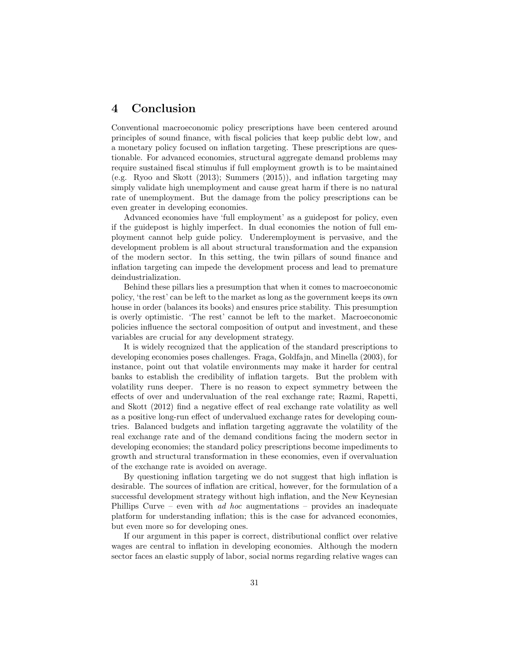# 4 Conclusion

Conventional macroeconomic policy prescriptions have been centered around principles of sound finance, with fiscal policies that keep public debt low, and a monetary policy focused on inflation targeting. These prescriptions are questionable. For advanced economies, structural aggregate demand problems may require sustained fiscal stimulus if full employment growth is to be maintained (e.g. Ryoo and Skott (2013); Summers (2015)), and inflation targeting may simply validate high unemployment and cause great harm if there is no natural rate of unemployment. But the damage from the policy prescriptions can be even greater in developing economies.

Advanced economies have 'full employment' as a guidepost for policy, even if the guidepost is highly imperfect. In dual economies the notion of full employment cannot help guide policy. Underemployment is pervasive, and the development problem is all about structural transformation and the expansion of the modern sector. In this setting, the twin pillars of sound finance and inflation targeting can impede the development process and lead to premature deindustrialization.

Behind these pillars lies a presumption that when it comes to macroeconomic policy, 'the rest' can be left to the market as long as the government keeps its own house in order (balances its books) and ensures price stability. This presumption is overly optimistic. 'The rest' cannot be left to the market. Macroeconomic policies influence the sectoral composition of output and investment, and these variables are crucial for any development strategy.

It is widely recognized that the application of the standard prescriptions to developing economies poses challenges. Fraga, Goldfajn, and Minella (2003), for instance, point out that volatile environments may make it harder for central banks to establish the credibility of inflation targets. But the problem with volatility runs deeper. There is no reason to expect symmetry between the effects of over and undervaluation of the real exchange rate; Razmi, Rapetti, and Skott (2012) find a negative effect of real exchange rate volatility as well as a positive long-run effect of undervalued exchange rates for developing countries. Balanced budgets and inflation targeting aggravate the volatility of the real exchange rate and of the demand conditions facing the modern sector in developing economies; the standard policy prescriptions become impediments to growth and structural transformation in these economies, even if overvaluation of the exchange rate is avoided on average.

By questioning inflation targeting we do not suggest that high inflation is desirable. The sources of inflation are critical, however, for the formulation of a successful development strategy without high inflation, and the New Keynesian Phillips Curve – even with *ad hoc* augmentations – provides an inadequate platform for understanding inflation; this is the case for advanced economies, but even more so for developing ones.

If our argument in this paper is correct, distributional conflict over relative wages are central to inflation in developing economies. Although the modern sector faces an elastic supply of labor, social norms regarding relative wages can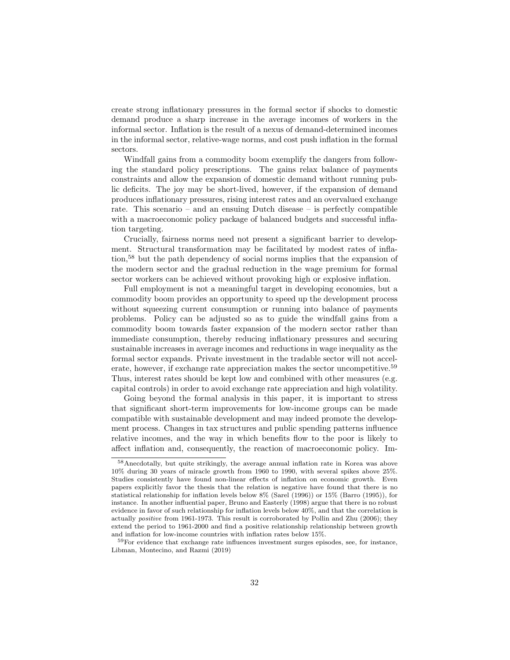create strong inflationary pressures in the formal sector if shocks to domestic demand produce a sharp increase in the average incomes of workers in the informal sector. Inflation is the result of a nexus of demand-determined incomes in the informal sector, relative-wage norms, and cost push inflation in the formal sectors.

Windfall gains from a commodity boom exemplify the dangers from following the standard policy prescriptions. The gains relax balance of payments constraints and allow the expansion of domestic demand without running public deficits. The joy may be short-lived, however, if the expansion of demand produces inflationary pressures, rising interest rates and an overvalued exchange rate. This scenario – and an ensuing Dutch disease – is perfectly compatible with a macroeconomic policy package of balanced budgets and successful inflation targeting.

Crucially, fairness norms need not present a significant barrier to development. Structural transformation may be facilitated by modest rates of inflation,<sup>58</sup> but the path dependency of social norms implies that the expansion of the modern sector and the gradual reduction in the wage premium for formal sector workers can be achieved without provoking high or explosive inflation.

Full employment is not a meaningful target in developing economies, but a commodity boom provides an opportunity to speed up the development process without squeezing current consumption or running into balance of payments problems. Policy can be adjusted so as to guide the windfall gains from a commodity boom towards faster expansion of the modern sector rather than immediate consumption, thereby reducing inflationary pressures and securing sustainable increases in average incomes and reductions in wage inequality as the formal sector expands. Private investment in the tradable sector will not accelerate, however, if exchange rate appreciation makes the sector uncompetitive.<sup>59</sup> Thus, interest rates should be kept low and combined with other measures (e.g. capital controls) in order to avoid exchange rate appreciation and high volatility.

Going beyond the formal analysis in this paper, it is important to stress that significant short-term improvements for low-income groups can be made compatible with sustainable development and may indeed promote the development process. Changes in tax structures and public spending patterns influence relative incomes, and the way in which benefits flow to the poor is likely to affect inflation and, consequently, the reaction of macroeconomic policy. Im-

<sup>58</sup>Anecdotally, but quite strikingly, the average annual inflation rate in Korea was above 10% during 30 years of miracle growth from 1960 to 1990, with several spikes above 25%. Studies consistently have found non-linear effects of inflation on economic growth. Even papers explicitly favor the thesis that the relation is negative have found that there is no statistical relationship for inflation levels below 8% (Sarel (1996)) or 15% (Barro (1995)), for instance. In another influential paper, Bruno and Easterly (1998) argue that there is no robust evidence in favor of such relationship for inflation levels below 40%, and that the correlation is actually positive from 1961-1973. This result is corroborated by Pollin and Zhu (2006); they extend the period to 1961-2000 and find a positive relationship relationship between growth and inflation for low-income countries with inflation rates below 15%.

<sup>&</sup>lt;sup>59</sup>For evidence that exchange rate influences investment surges episodes, see, for instance, Libman, Montecino, and Razmi (2019)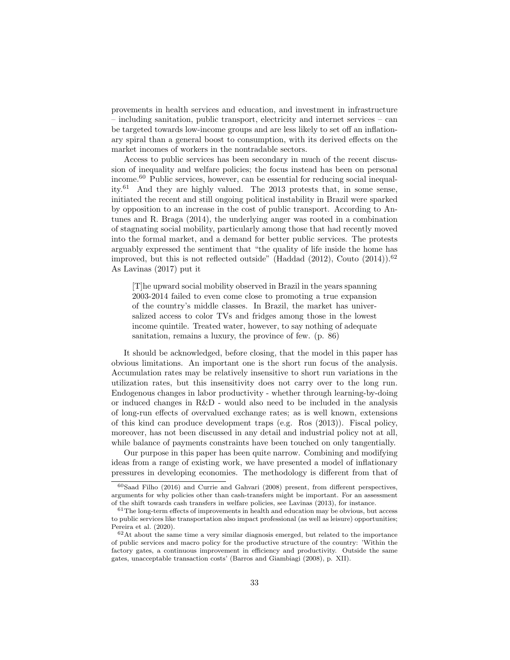provements in health services and education, and investment in infrastructure – including sanitation, public transport, electricity and internet services – can be targeted towards low-income groups and are less likely to set off an inflationary spiral than a general boost to consumption, with its derived effects on the market incomes of workers in the nontradable sectors.

Access to public services has been secondary in much of the recent discussion of inequality and welfare policies; the focus instead has been on personal income.<sup>60</sup> Public services, however, can be essential for reducing social inequality.<sup>61</sup> And they are highly valued. The 2013 protests that, in some sense, initiated the recent and still ongoing political instability in Brazil were sparked by opposition to an increase in the cost of public transport. According to Antunes and R. Braga (2014), the underlying anger was rooted in a combination of stagnating social mobility, particularly among those that had recently moved into the formal market, and a demand for better public services. The protests arguably expressed the sentiment that "the quality of life inside the home has improved, but this is not reflected outside" (Haddad  $(2012)$ , Couto  $(2014)$ ).<sup>62</sup> As Lavinas (2017) put it

[T]he upward social mobility observed in Brazil in the years spanning 2003-2014 failed to even come close to promoting a true expansion of the country's middle classes. In Brazil, the market has universalized access to color TVs and fridges among those in the lowest income quintile. Treated water, however, to say nothing of adequate sanitation, remains a luxury, the province of few. (p. 86)

It should be acknowledged, before closing, that the model in this paper has obvious limitations. An important one is the short run focus of the analysis. Accumulation rates may be relatively insensitive to short run variations in the utilization rates, but this insensitivity does not carry over to the long run. Endogenous changes in labor productivity - whether through learning-by-doing or induced changes in R&D - would also need to be included in the analysis of long-run effects of overvalued exchange rates; as is well known, extensions of this kind can produce development traps (e.g. Ros (2013)). Fiscal policy, moreover, has not been discussed in any detail and industrial policy not at all, while balance of payments constraints have been touched on only tangentially.

Our purpose in this paper has been quite narrow. Combining and modifying ideas from a range of existing work, we have presented a model of inflationary pressures in developing economies. The methodology is different from that of

 $60$ Saad Filho (2016) and Currie and Gahvari (2008) present, from different perspectives, arguments for why policies other than cash-transfers might be important. For an assessment of the shift towards cash transfers in welfare policies, see Lavinas (2013), for instance.

 $61$ The long-term effects of improvements in health and education may be obvious, but access to public services like transportation also impact professional (as well as leisure) opportunities; Pereira et al. (2020).

 $62$ At about the same time a very similar diagnosis emerged, but related to the importance of public services and macro policy for the productive structure of the country: 'Within the factory gates, a continuous improvement in efficiency and productivity. Outside the same gates, unacceptable transaction costs' (Barros and Giambiagi (2008), p. XII).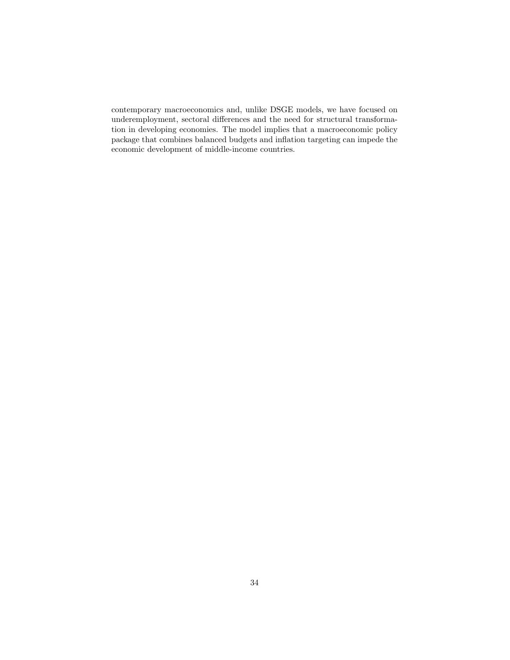contemporary macroeconomics and, unlike DSGE models, we have focused on underemployment, sectoral differences and the need for structural transformation in developing economies. The model implies that a macroeconomic policy package that combines balanced budgets and inflation targeting can impede the economic development of middle-income countries.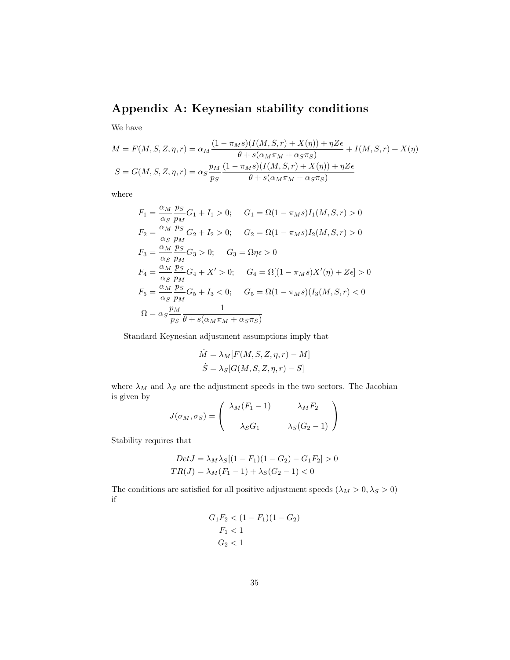# Appendix A: Keynesian stability conditions

We have

$$
M = F(M, S, Z, \eta, r) = \alpha_M \frac{(1 - \pi_M s)(I(M, S, r) + X(\eta)) + \eta Z \epsilon}{\theta + s(\alpha_M \pi_M + \alpha_S \pi_S)} + I(M, S, r) + X(\eta)
$$
  

$$
S = G(M, S, Z, \eta, r) = \alpha_S \frac{p_M}{p_S} \frac{(1 - \pi_M s)(I(M, S, r) + X(\eta)) + \eta Z \epsilon}{\theta + s(\alpha_M \pi_M + \alpha_S \pi_S)}
$$

where

$$
F_1 = \frac{\alpha_M}{\alpha_S} \frac{p_S}{p_M} G_1 + I_1 > 0; \quad G_1 = \Omega (1 - \pi_M s) I_1(M, S, r) > 0
$$
  
\n
$$
F_2 = \frac{\alpha_M}{\alpha_S} \frac{p_S}{p_M} G_2 + I_2 > 0; \quad G_2 = \Omega (1 - \pi_M s) I_2(M, S, r) > 0
$$
  
\n
$$
F_3 = \frac{\alpha_M}{\alpha_S} \frac{p_S}{p_M} G_3 > 0; \quad G_3 = \Omega \eta \epsilon > 0
$$
  
\n
$$
F_4 = \frac{\alpha_M}{\alpha_S} \frac{p_S}{p_M} G_4 + X' > 0; \quad G_4 = \Omega [(1 - \pi_M s) X'(\eta) + Z \epsilon] > 0
$$
  
\n
$$
F_5 = \frac{\alpha_M}{\alpha_S} \frac{p_S}{p_M} G_5 + I_3 < 0; \quad G_5 = \Omega (1 - \pi_M s) (I_3(M, S, r) < 0
$$
  
\n
$$
\Omega = \alpha_S \frac{p_M}{p_S} \frac{1}{\theta + s(\alpha_M \pi_M + \alpha_S \pi_S)}
$$

Standard Keynesian adjustment assumptions imply that

$$
\dot{M} = \lambda_M[F(M, S, Z, \eta, r) - M]
$$

$$
\dot{S} = \lambda_S[G(M, S, Z, \eta, r) - S]
$$

where  $\lambda_M$  and  $\lambda_S$  are the adjustment speeds in the two sectors. The Jacobian is given by

$$
J(\sigma_M, \sigma_S) = \begin{pmatrix} \lambda_M(F_1 - 1) & \lambda_M F_2 \\ \lambda_S G_1 & \lambda_S (G_2 - 1) \end{pmatrix}
$$

Stability requires that

$$
Det J = \lambda_M \lambda_S [(1 - F_1)(1 - G_2) - G_1 F_2] > 0
$$
  

$$
TR(J) = \lambda_M (F_1 - 1) + \lambda_S (G_2 - 1) < 0
$$

The conditions are satisfied for all positive adjustment speeds  $(\lambda_M > 0, \lambda_S > 0)$ if

$$
G_1F_2 < (1 - F_1)(1 - G_2)
$$
\n
$$
F_1 < 1
$$
\n
$$
G_2 < 1
$$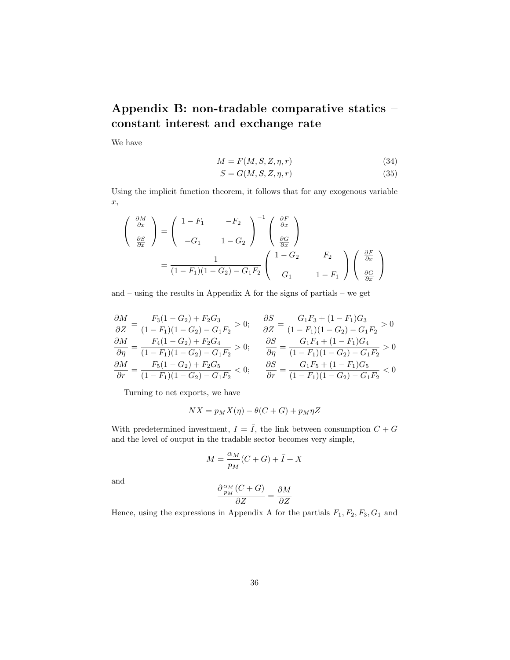# Appendix B: non-tradable comparative statics – constant interest and exchange rate

We have

$$
M = F(M, S, Z, \eta, r) \tag{34}
$$

$$
S = G(M, S, Z, \eta, r) \tag{35}
$$

Using the implicit function theorem, it follows that for any exogenous variable x,

$$
\begin{pmatrix}\n\frac{\partial M}{\partial x} \\
\frac{\partial S}{\partial x}\n\end{pmatrix} = \begin{pmatrix}\n1 - F_1 & -F_2 \\
-G_1 & 1 - G_2\n\end{pmatrix}^{-1} \begin{pmatrix}\n\frac{\partial F}{\partial x} \\
\frac{\partial G}{\partial x}\n\end{pmatrix}
$$
\n
$$
= \frac{1}{(1 - F_1)(1 - G_2) - G_1 F_2} \begin{pmatrix}\n1 - G_2 & F_2 \\
G_1 & 1 - F_1\n\end{pmatrix} \begin{pmatrix}\n\frac{\partial F}{\partial x} \\
\frac{\partial G}{\partial x}\n\end{pmatrix}
$$

and – using the results in Appendix A for the signs of partials – we get

$$
\frac{\partial M}{\partial Z} = \frac{F_3(1 - G_2) + F_2 G_3}{(1 - F_1)(1 - G_2) - G_1 F_2} > 0; \quad \frac{\partial S}{\partial Z} = \frac{G_1 F_3 + (1 - F_1) G_3}{(1 - F_1)(1 - G_2) - G_1 F_2} > 0
$$
  
\n
$$
\frac{\partial M}{\partial \eta} = \frac{F_4(1 - G_2) + F_2 G_4}{(1 - F_1)(1 - G_2) - G_1 F_2} > 0; \quad \frac{\partial S}{\partial \eta} = \frac{G_1 F_4 + (1 - F_1) G_4}{(1 - F_1)(1 - G_2) - G_1 F_2} > 0
$$
  
\n
$$
\frac{\partial M}{\partial r} = \frac{F_5(1 - G_2) + F_2 G_5}{(1 - F_1)(1 - G_2) - G_1 F_2} < 0; \quad \frac{\partial S}{\partial r} = \frac{G_1 F_5 + (1 - F_1) G_5}{(1 - F_1)(1 - G_2) - G_1 F_2} < 0
$$

Turning to net exports, we have

$$
NX = p_M X(\eta) - \theta(C + G) + p_M \eta Z
$$

With predetermined investment,  $I = \overline{I}$ , the link between consumption  $C + G$ and the level of output in the tradable sector becomes very simple,

$$
M = \frac{\alpha_M}{p_M}(C+G) + \bar{I} + X
$$

and

$$
\frac{\partial \frac{\alpha_M}{p_M}(C+G)}{\partial Z} = \frac{\partial M}{\partial Z}
$$

Hence, using the expressions in Appendix A for the partials  $F_1, F_2, F_3, G_1$  and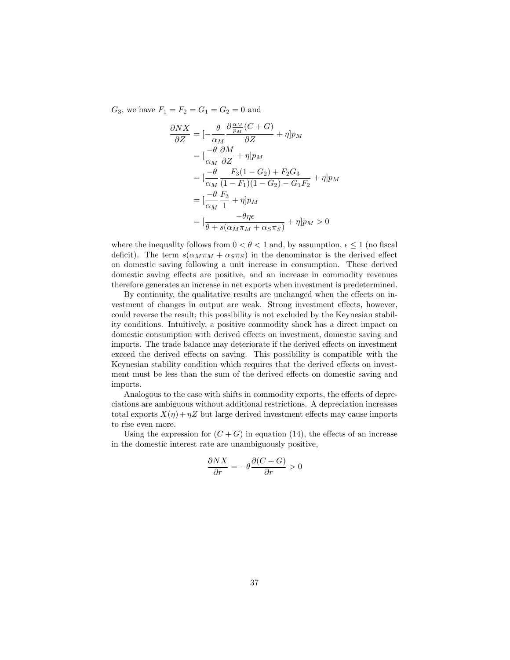$G_3$ , we have  $F_1 = F_2 = G_1 = G_2 = 0$  and

$$
\frac{\partial N X}{\partial Z} = \left[ -\frac{\theta}{\alpha_M} \frac{\partial \frac{\alpha_M}{p_M} (C + G)}{\partial Z} + \eta \right] p_M
$$
  
\n
$$
= \left[ \frac{-\theta}{\alpha_M} \frac{\partial M}{\partial Z} + \eta \right] p_M
$$
  
\n
$$
= \left[ \frac{-\theta}{\alpha_M} \frac{F_3 (1 - G_2) + F_2 G_3}{(1 - F_1)(1 - G_2) - G_1 F_2} + \eta \right] p_M
$$
  
\n
$$
= \left[ \frac{-\theta}{\alpha_M} \frac{F_3}{1} + \eta \right] p_M
$$
  
\n
$$
= \left[ \frac{-\theta \eta \epsilon}{\theta + s(\alpha_M \pi_M + \alpha_S \pi_S)} + \eta \right] p_M > 0
$$

where the inequality follows from  $0 < \theta < 1$  and, by assumption,  $\epsilon \leq 1$  (no fiscal deficit). The term  $s(\alpha_M \pi_M + \alpha_S \pi_S)$  in the denominator is the derived effect on domestic saving following a unit increase in consumption. These derived domestic saving effects are positive, and an increase in commodity revenues therefore generates an increase in net exports when investment is predetermined.

By continuity, the qualitative results are unchanged when the effects on investment of changes in output are weak. Strong investment effects, however, could reverse the result; this possibility is not excluded by the Keynesian stability conditions. Intuitively, a positive commodity shock has a direct impact on domestic consumption with derived effects on investment, domestic saving and imports. The trade balance may deteriorate if the derived effects on investment exceed the derived effects on saving. This possibility is compatible with the Keynesian stability condition which requires that the derived effects on investment must be less than the sum of the derived effects on domestic saving and imports.

Analogous to the case with shifts in commodity exports, the effects of depreciations are ambiguous without additional restrictions. A depreciation increases total exports  $X(\eta) + \eta Z$  but large derived investment effects may cause imports to rise even more.

Using the expression for  $(C+G)$  in equation (14), the effects of an increase in the domestic interest rate are unambiguously positive,

$$
\frac{\partial N X}{\partial r} = -\theta \frac{\partial (C+G)}{\partial r} > 0
$$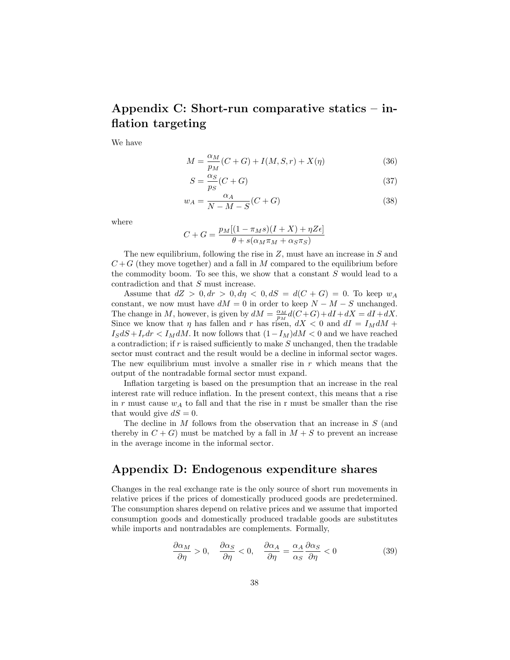# Appendix C: Short-run comparative statics – inflation targeting

We have

$$
M = \frac{\alpha_M}{p_M}(C+G) + I(M, S, r) + X(\eta)
$$
\n(36)

$$
S = \frac{\alpha_S}{p_S}(C+G) \tag{37}
$$

$$
w_A = \frac{\alpha_A}{N - M - S}(C + G) \tag{38}
$$

where

$$
C + G = \frac{p_M[(1 - \pi_M s)(I + X) + \eta Z \epsilon]}{\theta + s(\alpha_M \pi_M + \alpha_S \pi_S)}
$$

The new equilibrium, following the rise in  $Z$ , must have an increase in  $S$  and  $C+G$  (they move together) and a fall in M compared to the equilibrium before the commodity boom. To see this, we show that a constant  $S$  would lead to a contradiction and that S must increase.

Assume that  $dZ > 0, dr > 0, d\eta < 0, dS = d(C+G) = 0$ . To keep  $w_A$ constant, we now must have  $dM = 0$  in order to keep  $N - M - S$  unchanged. The change in M, however, is given by  $dM = \frac{\alpha_M}{p_M}d(C+G) + dI + dX = dI + dX$ . Since we know that  $\eta$  has fallen and r has risen,  $dX < 0$  and  $dI = I_M dM +$  $I_S dS + I_r dr < I_M dM$ . It now follows that  $(1-I_M)dM < 0$  and we have reached a contradiction; if  $r$  is raised sufficiently to make  $S$  unchanged, then the tradable sector must contract and the result would be a decline in informal sector wages. The new equilibrium must involve a smaller rise in  $r$  which means that the output of the nontradable formal sector must expand.

Inflation targeting is based on the presumption that an increase in the real interest rate will reduce inflation. In the present context, this means that a rise in r must cause  $w_A$  to fall and that the rise in r must be smaller than the rise that would give  $dS = 0$ .

The decline in M follows from the observation that an increase in S (and thereby in  $C + G$ ) must be matched by a fall in  $M + S$  to prevent an increase in the average income in the informal sector.

## Appendix D: Endogenous expenditure shares

Changes in the real exchange rate is the only source of short run movements in relative prices if the prices of domestically produced goods are predetermined. The consumption shares depend on relative prices and we assume that imported consumption goods and domestically produced tradable goods are substitutes while imports and nontradables are complements. Formally,

$$
\frac{\partial \alpha_M}{\partial \eta} > 0, \quad \frac{\partial \alpha_S}{\partial \eta} < 0, \quad \frac{\partial \alpha_A}{\partial \eta} = \frac{\alpha_A}{\alpha_S} \frac{\partial \alpha_S}{\partial \eta} < 0 \tag{39}
$$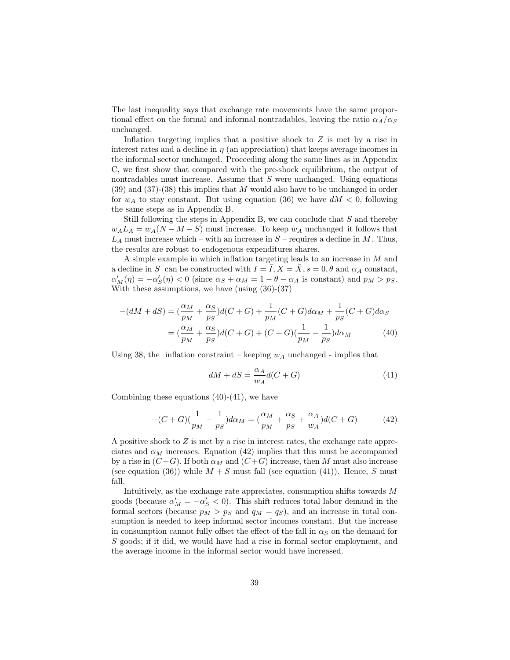The last inequality says that exchange rate movements have the same proportional effect on the formal and informal nontradables, leaving the ratio  $\alpha_A/\alpha_S$ unchanged.

Inflation targeting implies that a positive shock to Z is met by a rise in interest rates and a decline in  $\eta$  (an appreciation) that keeps average incomes in the informal sector unchanged. Proceeding along the same lines as in Appendix C, we first show that compared with the pre-shock equilibrium, the output of nontradables must increase. Assume that  $S$  were unchanged. Using equations  $(39)$  and  $(37)-(38)$  this implies that M would also have to be unchanged in order for  $w_A$  to stay constant. But using equation (36) we have  $dM < 0$ , following the same steps as in Appendix B.

Still following the steps in Appendix B, we can conclude that  $S$  and thereby  $w_A L_A = w_A(N - M - S)$  must increase. To keep  $w_A$  unchanged it follows that  $L_A$  must increase which – with an increase in  $S$  – requires a decline in  $M$ . Thus, the results are robust to endogenous expenditures shares.

A simple example in which inflation targeting leads to an increase in M and a decline in S can be constructed with  $I = \overline{I}$ ,  $X = \overline{X}$ ,  $s = 0$ ,  $\theta$  and  $\alpha_A$  constant,  $\alpha'_M(\eta) = -\alpha'_S(\eta) < 0$  (since  $\alpha_S + \alpha_M = 1 - \theta - \alpha_A$  is constant) and  $p_M > p_S$ . With these assumptions, we have (using (36)-(37)

$$
-(dM + dS) = \left(\frac{\alpha_M}{p_M} + \frac{\alpha_S}{p_S}\right)d(C + G) + \frac{1}{p_M}(C + G)d\alpha_M + \frac{1}{p_S}(C + G)d\alpha_S
$$

$$
= \left(\frac{\alpha_M}{p_M} + \frac{\alpha_S}{p_S}\right)d(C + G) + (C + G)\left(\frac{1}{p_M} - \frac{1}{p_S}\right)d\alpha_M\tag{40}
$$

Using 38, the inflation constraint – keeping  $w_A$  unchanged - implies that

$$
dM + dS = \frac{\alpha_A}{w_A}d(C + G)
$$
\n(41)

Combining these equations  $(40)-(41)$ , we have

$$
-(C+G)(\frac{1}{p_M} - \frac{1}{p_S})d\alpha_M = (\frac{\alpha_M}{p_M} + \frac{\alpha_S}{p_S} + \frac{\alpha_A}{w_A})d(C+G)
$$
(42)

A positive shock to  $Z$  is met by a rise in interest rates, the exchange rate appreciates and  $\alpha_M$  increases. Equation (42) implies that this must be accompanied by a rise in  $(C+G)$ . If both  $\alpha_M$  and  $(C+G)$  increase, then M must also increase (see equation (36)) while  $M + S$  must fall (see equation (41)). Hence, S must fall.

Intuitively, as the exchange rate appreciates, consumption shifts towards M goods (because  $\alpha'_M = -\alpha'_S < 0$ ). This shift reduces total labor demand in the formal sectors (because  $p_M > p_S$  and  $q_M = q_S$ ), and an increase in total consumption is needed to keep informal sector incomes constant. But the increase in consumption cannot fully offset the effect of the fall in  $\alpha_S$  on the demand for S goods; if it did, we would have had a rise in formal sector employment, and the average income in the informal sector would have increased.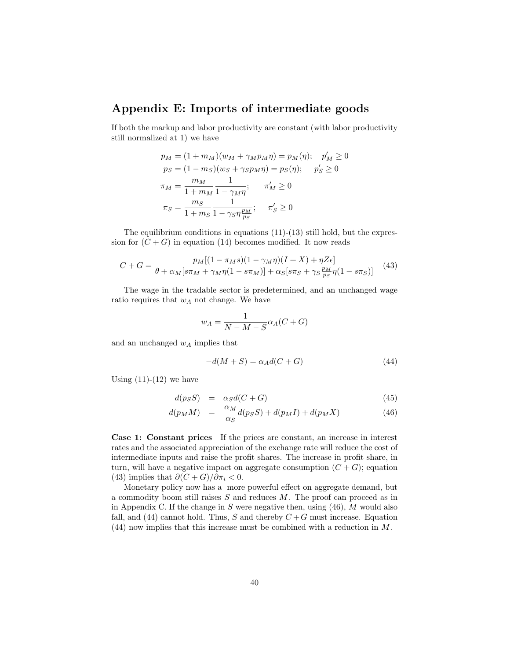## Appendix E: Imports of intermediate goods

If both the markup and labor productivity are constant (with labor productivity still normalized at 1) we have

$$
p_M = (1 + m_M)(w_M + \gamma_M p_M \eta) = p_M(\eta); \quad p'_M \ge 0
$$
  
\n
$$
p_S = (1 - m_S)(w_S + \gamma_S p_M \eta) = p_S(\eta); \quad p'_S \ge 0
$$
  
\n
$$
\pi_M = \frac{m_M}{1 + m_M} \frac{1}{1 - \gamma_M \eta}; \quad \pi'_M \ge 0
$$
  
\n
$$
\pi_S = \frac{m_S}{1 + m_S} \frac{1}{1 - \gamma_S \eta \frac{p_M}{p_S}}; \quad \pi'_S \ge 0
$$

The equilibrium conditions in equations (11)-(13) still hold, but the expression for  $(C+G)$  in equation (14) becomes modified. It now reads

$$
C + G = \frac{p_M[(1 - \pi_M s)(1 - \gamma_M \eta)(I + X) + \eta Z \epsilon]}{\theta + \alpha_M[s\pi_M + \gamma_M \eta(1 - s\pi_M)] + \alpha_S[s\pi_S + \gamma_S \frac{p_M}{p_S} \eta(1 - s\pi_S)]} \tag{43}
$$

The wage in the tradable sector is predetermined, and an unchanged wage ratio requires that  $w_A$  not change. We have

$$
w_A = \frac{1}{N - M - S} \alpha_A (C + G)
$$

and an unchanged  $w_A$  implies that

$$
-d(M+S) = \alpha_A d(C+G) \tag{44}
$$

Using  $(11)-(12)$  we have

$$
d(p_S S) = \alpha_S d(C + G) \tag{45}
$$

$$
d(p_M M) = \frac{\alpha_M}{\alpha_S} d(p_S S) + d(p_M I) + d(p_M X) \tag{46}
$$

Case 1: Constant prices If the prices are constant, an increase in interest rates and the associated appreciation of the exchange rate will reduce the cost of intermediate inputs and raise the profit shares. The increase in profit share, in turn, will have a negative impact on aggregate consumption  $(C+G)$ ; equation (43) implies that  $\partial (C+G)/\partial \pi_i < 0$ .

Monetary policy now has a more powerful effect on aggregate demand, but a commodity boom still raises S and reduces M. The proof can proceed as in in Appendix C. If the change in  $S$  were negative then, using  $(46)$ ,  $M$  would also fall, and (44) cannot hold. Thus, S and thereby  $C + G$  must increase. Equation (44) now implies that this increase must be combined with a reduction in M.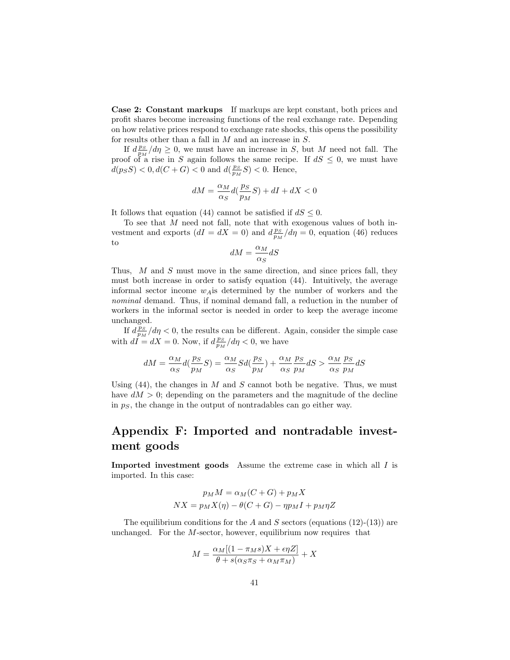Case 2: Constant markups If markups are kept constant, both prices and profit shares become increasing functions of the real exchange rate. Depending on how relative prices respond to exchange rate shocks, this opens the possibility for results other than a fall in M and an increase in S.

If  $d_{\frac{p_S}{p_M}}^{\frac{p_S}{p_M}}/d\eta \geq 0$ , we must have an increase in S, but M need not fall. The proof of a rise in S again follows the same recipe. If  $dS \leq 0$ , we must have  $d(p_S S) < 0, d(C+G) < 0$  and  $d(\frac{p_S}{p_M} S) < 0$ . Hence,

$$
dM = \frac{\alpha_M}{\alpha_S} d(\frac{p_S}{p_M}S) + dI + dX < 0
$$

It follows that equation (44) cannot be satisfied if  $dS \leq 0$ .

To see that M need not fall, note that with exogenous values of both investment and exports  $(dI = dX = 0)$  and  $d\frac{ps}{p_M}/d\eta = 0$ , equation (46) reduces to

$$
dM = \frac{\alpha_M}{\alpha_S} dS
$$

Thus, M and S must move in the same direction, and since prices fall, they must both increase in order to satisfy equation (44). Intuitively, the average informal sector income  $w_A$  is determined by the number of workers and the nominal demand. Thus, if nominal demand fall, a reduction in the number of workers in the informal sector is needed in order to keep the average income unchanged.

If  $d_{p_M}^{\overline{p}_S}/d\eta < 0$ , the results can be different. Again, consider the simple case with  $d\vec{I} = dX = 0$ . Now, if  $d_{p_M}^{PS}/d\eta < 0$ , we have

$$
dM=\frac{\alpha_M}{\alpha_S}d(\frac{p_S}{p_M}S)=\frac{\alpha_M}{\alpha_S}Sd(\frac{p_S}{p_M})+\frac{\alpha_M}{\alpha_S}\frac{p_S}{p_M}dS>\frac{\alpha_M}{\alpha_S}\frac{p_S}{p_M}dS
$$

Using  $(44)$ , the changes in M and S cannot both be negative. Thus, we must have  $dM > 0$ ; depending on the parameters and the magnitude of the decline in  $p<sub>S</sub>$ , the change in the output of nontradables can go either way.

# Appendix F: Imported and nontradable investment goods

Imported investment goods Assume the extreme case in which all I is imported. In this case:

$$
p_M M = \alpha_M (C + G) + p_M X
$$
  

$$
NX = p_M X(\eta) - \theta (C + G) - \eta p_M I + p_M \eta Z
$$

The equilibrium conditions for the A and S sectors (equations  $(12)-(13)$ ) are unchanged. For the  $M$ -sector, however, equilibrium now requires that

$$
M = \frac{\alpha_M[(1 - \pi_M s)X + \epsilon \eta Z]}{\theta + s(\alpha_S \pi_S + \alpha_M \pi_M)} + X
$$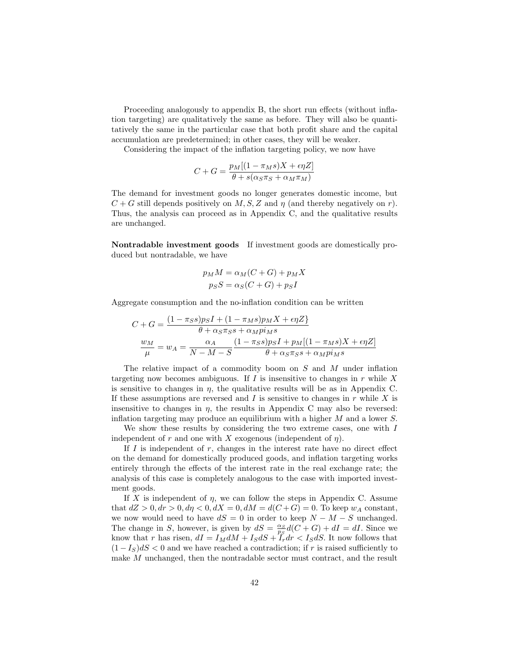Proceeding analogously to appendix B, the short run effects (without inflation targeting) are qualitatively the same as before. They will also be quantitatively the same in the particular case that both profit share and the capital accumulation are predetermined; in other cases, they will be weaker.

Considering the impact of the inflation targeting policy, we now have

$$
C + G = \frac{p_M[(1 - \pi_M s)X + \epsilon \eta Z]}{\theta + s(\alpha_S \pi_S + \alpha_M \pi_M)}
$$

The demand for investment goods no longer generates domestic income, but  $C + G$  still depends positively on M, S, Z and  $\eta$  (and thereby negatively on r). Thus, the analysis can proceed as in Appendix C, and the qualitative results are unchanged.

Nontradable investment goods If investment goods are domestically produced but nontradable, we have

$$
p_M M = \alpha_M (C + G) + p_M X
$$

$$
p_S S = \alpha_S (C + G) + p_S I
$$

Aggregate consumption and the no-inflation condition can be written

$$
C + G = \frac{(1 - \pi_S s)p_S I + (1 - \pi_M s)p_M X + \epsilon \eta Z}{\theta + \alpha_S \pi_S s + \alpha_M p i_M s}
$$

$$
\frac{w_M}{\mu} = w_A = \frac{\alpha_A}{N - M - S} \frac{(1 - \pi_S s)p_S I + p_M[(1 - \pi_M s)X + \epsilon \eta Z]}{\theta + \alpha_S \pi_S s + \alpha_M p i_M s}
$$

The relative impact of a commodity boom on S and M under inflation targeting now becomes ambiguous. If I is insensitive to changes in  $r$  while X is sensitive to changes in  $\eta$ , the qualitative results will be as in Appendix C. If these assumptions are reversed and  $I$  is sensitive to changes in  $r$  while  $X$  is insensitive to changes in  $\eta$ , the results in Appendix C may also be reversed: inflation targeting may produce an equilibrium with a higher M and a lower S.

We show these results by considering the two extreme cases, one with  $I$ independent of r and one with X exogenous (independent of  $\eta$ ).

If  $I$  is independent of  $r$ , changes in the interest rate have no direct effect on the demand for domestically produced goods, and inflation targeting works entirely through the effects of the interest rate in the real exchange rate; the analysis of this case is completely analogous to the case with imported investment goods.

If X is independent of  $\eta$ , we can follow the steps in Appendix C. Assume that  $dZ > 0, dr > 0, d\eta < 0, dX = 0, dM = d(C+G) = 0$ . To keep  $w_A$  constant, we now would need to have  $dS = 0$  in order to keep  $N - M - S$  unchanged. The change in S, however, is given by  $dS = \frac{\alpha_S}{p_S}d(C+G) + dI = dI$ . Since we know that r has risen,  $dI = I_M dM + I_S dS + \tilde{I}_r dr < I_S dS$ . It now follows that  $(1 - I_S)dS < 0$  and we have reached a contradiction; if r is raised sufficiently to make M unchanged, then the nontradable sector must contract, and the result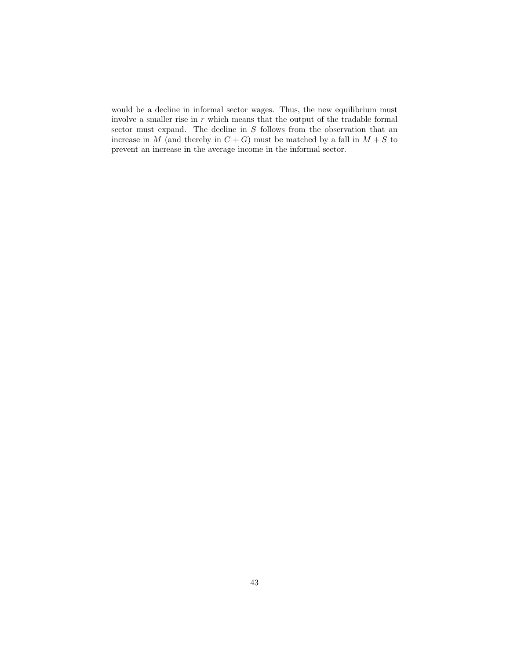would be a decline in informal sector wages. Thus, the new equilibrium must involve a smaller rise in  $r$  which means that the output of the tradable formal sector must expand. The decline in S follows from the observation that an increase in M (and thereby in  $C + G$ ) must be matched by a fall in  $M + S$  to prevent an increase in the average income in the informal sector.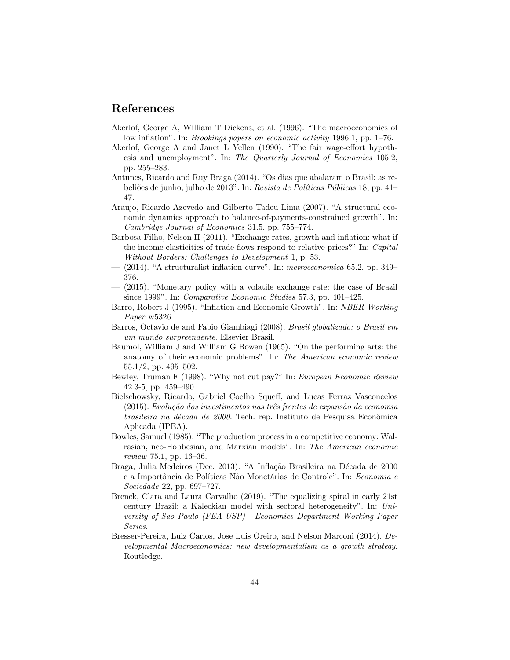### References

- Akerlof, George A, William T Dickens, et al. (1996). "The macroeconomics of low inflation". In: Brookings papers on economic activity 1996.1, pp. 1–76.
- Akerlof, George A and Janet L Yellen (1990). "The fair wage-effort hypothesis and unemployment". In: The Quarterly Journal of Economics 105.2, pp. 255–283.
- Antunes, Ricardo and Ruy Braga (2014). "Os dias que abalaram o Brasil: as rebeliões de junho, julho de 2013". In: Revista de Políticas Públicas 18, pp. 41– 47.
- Araujo, Ricardo Azevedo and Gilberto Tadeu Lima (2007). "A structural economic dynamics approach to balance-of-payments-constrained growth". In: Cambridge Journal of Economics 31.5, pp. 755–774.
- Barbosa-Filho, Nelson H (2011). "Exchange rates, growth and inflation: what if the income elasticities of trade flows respond to relative prices?" In: Capital Without Borders: Challenges to Development 1, p. 53.
- $-$  (2014). "A structuralist inflation curve". In: *metroeconomica* 65.2, pp. 349– 376.
- (2015). "Monetary policy with a volatile exchange rate: the case of Brazil since 1999". In: Comparative Economic Studies 57.3, pp. 401–425.
- Barro, Robert J (1995). "Inflation and Economic Growth". In: NBER Working Paper w5326.
- Barros, Octavio de and Fabio Giambiagi (2008). Brasil globalizado: o Brasil em um mundo surpreendente. Elsevier Brasil.
- Baumol, William J and William G Bowen (1965). "On the performing arts: the anatomy of their economic problems". In: The American economic review 55.1/2, pp. 495–502.
- Bewley, Truman F (1998). "Why not cut pay?" In: European Economic Review 42.3-5, pp. 459–490.
- Bielschowsky, Ricardo, Gabriel Coelho Squeff, and Lucas Ferraz Vasconcelos  $(2015)$ . Evolução dos investimentos nas três frentes de expansão da economia brasileira na década de 2000. Tech. rep. Instituto de Pesquisa Econômica Aplicada (IPEA).
- Bowles, Samuel (1985). "The production process in a competitive economy: Walrasian, neo-Hobbesian, and Marxian models". In: The American economic review 75.1, pp. 16–36.
- Braga, Julia Medeiros (Dec. 2013). "A Inflação Brasileira na Década de 2000 e a Importância de Políticas Não Monetárias de Controle". In: Economia e Sociedade 22, pp. 697–727.
- Brenck, Clara and Laura Carvalho (2019). "The equalizing spiral in early 21st century Brazil: a Kaleckian model with sectoral heterogeneity". In: University of Sao Paulo (FEA-USP) - Economics Department Working Paper Series.
- Bresser-Pereira, Luiz Carlos, Jose Luis Oreiro, and Nelson Marconi (2014). Developmental Macroeconomics: new developmentalism as a growth strategy. Routledge.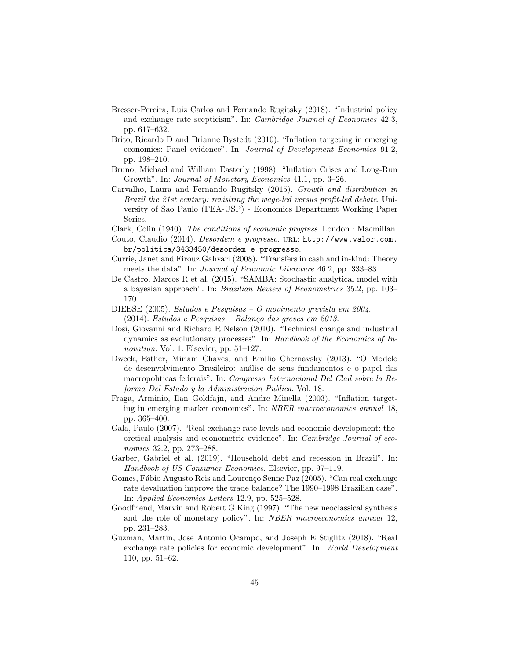- Bresser-Pereira, Luiz Carlos and Fernando Rugitsky (2018). "Industrial policy and exchange rate scepticism". In: Cambridge Journal of Economics 42.3, pp. 617–632.
- Brito, Ricardo D and Brianne Bystedt (2010). "Inflation targeting in emerging economies: Panel evidence". In: Journal of Development Economics 91.2, pp. 198–210.
- Bruno, Michael and William Easterly (1998). "Inflation Crises and Long-Run Growth". In: Journal of Monetary Economics 41.1, pp. 3–26.
- Carvalho, Laura and Fernando Rugitsky (2015). Growth and distribution in Brazil the 21st century: revisiting the wage-led versus profit-led debate. University of Sao Paulo (FEA-USP) - Economics Department Working Paper Series.
- Clark, Colin (1940). The conditions of economic progress. London : Macmillan.
- Couto, Claudio (2014). Desordem e progresso. URL: http://www.valor.com. br/politica/3433450/desordem-e-progresso.
- Currie, Janet and Firouz Gahvari (2008). "Transfers in cash and in-kind: Theory meets the data". In: *Journal of Economic Literature* 46.2, pp. 333–83.
- De Castro, Marcos R et al. (2015). "SAMBA: Stochastic analytical model with a bayesian approach". In: Brazilian Review of Econometrics 35.2, pp. 103– 170.
- DIEESE (2005). Estudos e Pesquisas O movimento grevista em 2004.
- (2014). Estudos e Pesquisas Balanço das greves em 2013.
- Dosi, Giovanni and Richard R Nelson (2010). "Technical change and industrial dynamics as evolutionary processes". In: Handbook of the Economics of Innovation. Vol. 1. Elsevier, pp. 51–127.
- Dweck, Esther, Miriam Chaves, and Emilio Chernavsky (2013). "O Modelo de desenvolvimento Brasileiro: an´alise de seus fundamentos e o papel das macropolıticas federais". In: Congresso Internacional Del Clad sobre la Reforma Del Estado y la Administracion Publica. Vol. 18.
- Fraga, Arminio, Ilan Goldfajn, and Andre Minella (2003). "Inflation targeting in emerging market economies". In: NBER macroeconomics annual 18, pp. 365–400.
- Gala, Paulo (2007). "Real exchange rate levels and economic development: theoretical analysis and econometric evidence". In: Cambridge Journal of economics 32.2, pp. 273–288.
- Garber, Gabriel et al. (2019). "Household debt and recession in Brazil". In: Handbook of US Consumer Economics. Elsevier, pp. 97–119.
- Gomes, Fábio Augusto Reis and Lourenço Senne Paz (2005). "Can real exchange rate devaluation improve the trade balance? The 1990–1998 Brazilian case". In: Applied Economics Letters 12.9, pp. 525–528.
- Goodfriend, Marvin and Robert G King (1997). "The new neoclassical synthesis and the role of monetary policy". In: NBER macroeconomics annual 12, pp. 231–283.
- Guzman, Martin, Jose Antonio Ocampo, and Joseph E Stiglitz (2018). "Real exchange rate policies for economic development". In: World Development 110, pp. 51–62.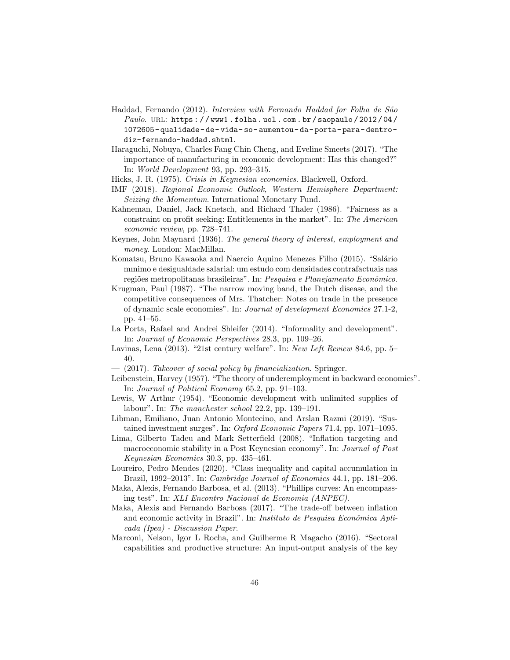- Haddad, Fernando (2012). Interview with Fernando Haddad for Folha de São Paulo. URL: https://www1.folha.uol.com.br/saopaulo/2012/04/ 1072605- qualidade- de- vida- so- aumentou- da- porta- para- dentrodiz-fernando-haddad.shtml.
- Haraguchi, Nobuya, Charles Fang Chin Cheng, and Eveline Smeets (2017). "The importance of manufacturing in economic development: Has this changed?" In: World Development 93, pp. 293–315.
- Hicks, J. R. (1975). Crisis in Keynesian economics. Blackwell, Oxford.
- IMF (2018). Regional Economic Outlook, Western Hemisphere Department: Seizing the Momentum. International Monetary Fund.
- Kahneman, Daniel, Jack Knetsch, and Richard Thaler (1986). "Fairness as a constraint on profit seeking: Entitlements in the market". In: The American economic review, pp. 728–741.
- Keynes, John Maynard (1936). The general theory of interest, employment and money. London: MacMillan.
- Komatsu, Bruno Kawaoka and Naercio Aquino Menezes Filho (2015). "Salário mınimo e desigualdade salarial: um estudo com densidades contrafactuais nas regiões metropolitanas brasileiras". In: Pesquisa e Planejamento Econômico.
- Krugman, Paul (1987). "The narrow moving band, the Dutch disease, and the competitive consequences of Mrs. Thatcher: Notes on trade in the presence of dynamic scale economies". In: Journal of development Economics 27.1-2, pp. 41–55.
- La Porta, Rafael and Andrei Shleifer (2014). "Informality and development". In: Journal of Economic Perspectives 28.3, pp. 109–26.
- Lavinas, Lena (2013). "21st century welfare". In: New Left Review 84.6, pp. 5– 40.
- $(2017)$ . Takeover of social policy by financialization. Springer.
- Leibenstein, Harvey (1957). "The theory of underemployment in backward economies". In: Journal of Political Economy 65.2, pp. 91–103.
- Lewis, W Arthur (1954). "Economic development with unlimited supplies of labour". In: The manchester school 22.2, pp. 139–191.
- Libman, Emiliano, Juan Antonio Montecino, and Arslan Razmi (2019). "Sustained investment surges". In: Oxford Economic Papers 71.4, pp. 1071–1095.
- Lima, Gilberto Tadeu and Mark Setterfield (2008). "Inflation targeting and macroeconomic stability in a Post Keynesian economy". In: Journal of Post Keynesian Economics 30.3, pp. 435–461.
- Loureiro, Pedro Mendes (2020). "Class inequality and capital accumulation in Brazil, 1992–2013". In: Cambridge Journal of Economics 44.1, pp. 181–206.
- Maka, Alexis, Fernando Barbosa, et al. (2013). "Phillips curves: An encompassing test". In: XLI Encontro Nacional de Economia (ANPEC).
- Maka, Alexis and Fernando Barbosa (2017). "The trade-off between inflation and economic activity in Brazil". In: Instituto de Pesquisa Econômica Aplicada (Ipea) - Discussion Paper.
- Marconi, Nelson, Igor L Rocha, and Guilherme R Magacho (2016). "Sectoral capabilities and productive structure: An input-output analysis of the key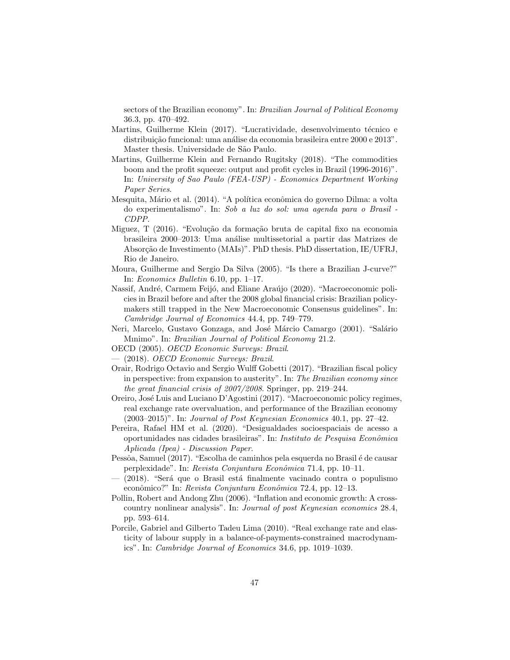sectors of the Brazilian economy". In: Brazilian Journal of Political Economy 36.3, pp. 470–492.

- Martins, Guilherme Klein (2017). "Lucratividade, desenvolvimento técnico e distribuição funcional: uma análise da economia brasileira entre 2000 e 2013". Master thesis. Universidade de São Paulo.
- Martins, Guilherme Klein and Fernando Rugitsky (2018). "The commodities boom and the profit squeeze: output and profit cycles in Brazil (1996-2016)". In: University of Sao Paulo (FEA-USP) - Economics Department Working Paper Series.
- Mesquita, Mário et al. (2014). "A política econômica do governo Dilma: a volta do experimentalismo". In: Sob a luz do sol: uma agenda para o Brasil - CDPP.
- Miguez, T (2016). "Evolução da formação bruta de capital fixo na economia brasileira 2000–2013: Uma an´alise multissetorial a partir das Matrizes de Absorção de Investimento (MAIs)". PhD thesis. PhD dissertation, IE/UFRJ, Rio de Janeiro.
- Moura, Guilherme and Sergio Da Silva (2005). "Is there a Brazilian J-curve?" In: Economics Bulletin 6.10, pp. 1–17.
- Nassif, André, Carmem Feijó, and Eliane Araújo (2020). "Macroeconomic policies in Brazil before and after the 2008 global financial crisis: Brazilian policymakers still trapped in the New Macroeconomic Consensus guidelines". In: Cambridge Journal of Economics 44.4, pp. 749–779.
- Neri, Marcelo, Gustavo Gonzaga, and José Márcio Camargo (2001). "Salário Mınimo". In: Brazilian Journal of Political Economy 21.2.
- OECD (2005). OECD Economic Surveys: Brazil.
- (2018). OECD Economic Surveys: Brazil.
- Orair, Rodrigo Octavio and Sergio Wulff Gobetti (2017). "Brazilian fiscal policy in perspective: from expansion to austerity". In: The Brazilian economy since the great financial crisis of 2007/2008. Springer, pp. 219–244.
- Oreiro, José Luis and Luciano D'Agostini (2017). "Macroeconomic policy regimes, real exchange rate overvaluation, and performance of the Brazilian economy  $(2003-2015)$ ". In: *Journal of Post Keynesian Economics* 40.1, pp. 27–42.
- Pereira, Rafael HM et al. (2020). "Desigualdades socioespaciais de acesso a oportunidades nas cidades brasileiras". In: Instituto de Pesquisa Econˆomica Aplicada (Ipea) - Discussion Paper.
- Pessôa, Samuel (2017). "Escolha de caminhos pela esquerda no Brasil é de causar perplexidade". In: Revista Conjuntura Econômica 71.4, pp. 10–11.
- $-$  (2018). "Será que o Brasil está finalmente vacinado contra o populismo econômico?" In: Revista Conjuntura Econômica 72.4, pp. 12–13.
- Pollin, Robert and Andong Zhu (2006). "Inflation and economic growth: A crosscountry nonlinear analysis". In: Journal of post Keynesian economics 28.4, pp. 593–614.
- Porcile, Gabriel and Gilberto Tadeu Lima (2010). "Real exchange rate and elasticity of labour supply in a balance-of-payments-constrained macrodynamics". In: Cambridge Journal of Economics 34.6, pp. 1019–1039.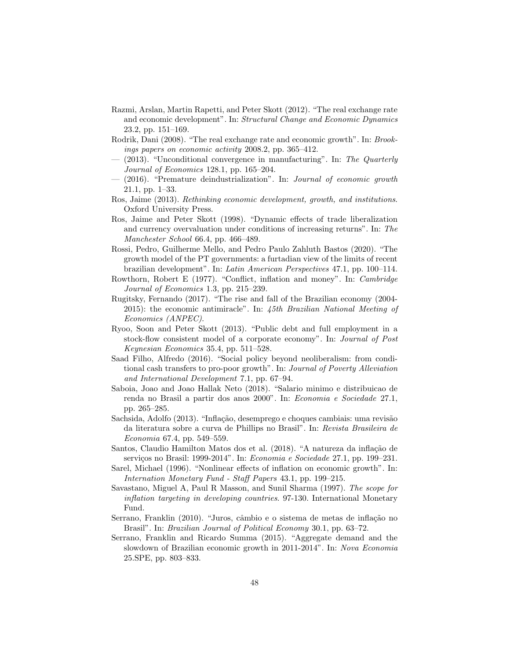- Razmi, Arslan, Martin Rapetti, and Peter Skott (2012). "The real exchange rate and economic development". In: Structural Change and Economic Dynamics 23.2, pp. 151–169.
- Rodrik, Dani (2008). "The real exchange rate and economic growth". In: Brookings papers on economic activity 2008.2, pp. 365–412.
- $-$  (2013). "Unconditional convergence in manufacturing". In: The Quarterly Journal of Economics 128.1, pp. 165–204.
- (2016). "Premature deindustrialization". In: Journal of economic growth 21.1, pp. 1–33.
- Ros, Jaime (2013). Rethinking economic development, growth, and institutions. Oxford University Press.
- Ros, Jaime and Peter Skott (1998). "Dynamic effects of trade liberalization and currency overvaluation under conditions of increasing returns". In: The Manchester School 66.4, pp. 466–489.
- Rossi, Pedro, Guilherme Mello, and Pedro Paulo Zahluth Bastos (2020). "The growth model of the PT governments: a furtadian view of the limits of recent brazilian development". In: Latin American Perspectives 47.1, pp. 100–114.
- Rowthorn, Robert E (1977). "Conflict, inflation and money". In: Cambridge Journal of Economics 1.3, pp. 215–239.
- Rugitsky, Fernando (2017). "The rise and fall of the Brazilian economy (2004- 2015): the economic antimiracle". In: 45th Brazilian National Meeting of Economics (ANPEC).
- Ryoo, Soon and Peter Skott (2013). "Public debt and full employment in a stock-flow consistent model of a corporate economy". In: Journal of Post Keynesian Economics 35.4, pp. 511–528.
- Saad Filho, Alfredo (2016). "Social policy beyond neoliberalism: from conditional cash transfers to pro-poor growth". In: Journal of Poverty Alleviation and International Development 7.1, pp. 67–94.
- Saboia, Joao and Joao Hallak Neto (2018). "Salario minimo e distribuicao de renda no Brasil a partir dos anos 2000". In: Economia e Sociedade 27.1, pp. 265–285.
- Sachsida, Adolfo (2013). "Inflação, desemprego e choques cambiais: uma revisão da literatura sobre a curva de Phillips no Brasil". In: Revista Brasileira de Economia 67.4, pp. 549–559.
- Santos, Claudio Hamilton Matos dos et al. (2018). "A natureza da inflação de serviços no Brasil: 1999-2014". In: Economia e Sociedade 27.1, pp. 199-231.
- Sarel, Michael (1996). "Nonlinear effects of inflation on economic growth". In: Internation Monetary Fund - Staff Papers 43.1, pp. 199–215.
- Savastano, Miguel A, Paul R Masson, and Sunil Sharma (1997). The scope for inflation targeting in developing countries. 97-130. International Monetary Fund.
- Serrano, Franklin (2010). "Juros, câmbio e o sistema de metas de inflação no Brasil". In: *Brazilian Journal of Political Economy* 30.1, pp. 63–72.
- Serrano, Franklin and Ricardo Summa (2015). "Aggregate demand and the slowdown of Brazilian economic growth in 2011-2014". In: Nova Economia 25.SPE, pp. 803–833.